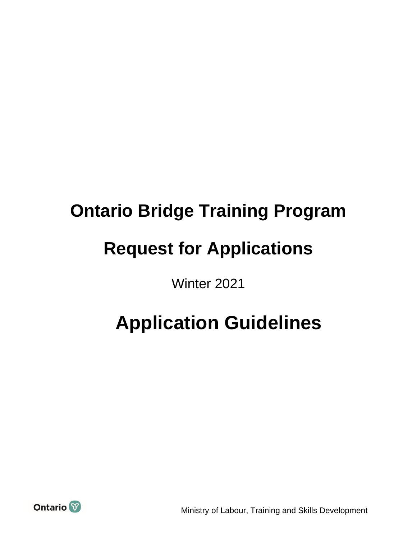# **Ontario Bridge Training Program Request for Applications**

Winter 2021

## **Application Guidelines**



Ministry of Labour, Training and Skills Development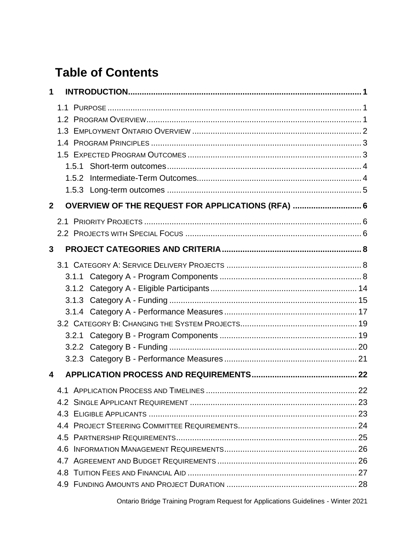## **Table of Contents**

| 1              |                                                   |  |
|----------------|---------------------------------------------------|--|
|                |                                                   |  |
|                |                                                   |  |
|                |                                                   |  |
|                |                                                   |  |
|                |                                                   |  |
|                |                                                   |  |
|                | 1.5.2                                             |  |
|                |                                                   |  |
| $\overline{2}$ | OVERVIEW OF THE REQUEST FOR APPLICATIONS (RFA)  6 |  |
|                |                                                   |  |
|                |                                                   |  |
| 3              |                                                   |  |
|                |                                                   |  |
|                |                                                   |  |
|                |                                                   |  |
|                |                                                   |  |
|                |                                                   |  |
|                |                                                   |  |
|                |                                                   |  |
|                |                                                   |  |
|                |                                                   |  |
| 4              |                                                   |  |
|                |                                                   |  |
|                |                                                   |  |
|                |                                                   |  |
|                |                                                   |  |
|                |                                                   |  |
|                |                                                   |  |
|                |                                                   |  |
|                |                                                   |  |
|                |                                                   |  |

Ontario Bridge Training Program Request for Applications Guidelines - Winter 2021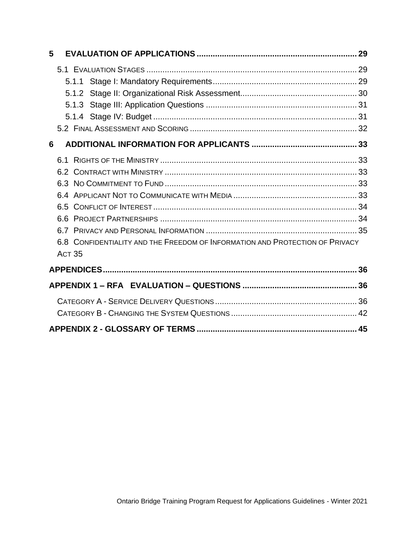| 5 |                                                                                               |  |
|---|-----------------------------------------------------------------------------------------------|--|
|   |                                                                                               |  |
|   |                                                                                               |  |
|   |                                                                                               |  |
|   |                                                                                               |  |
|   |                                                                                               |  |
|   |                                                                                               |  |
| 6 |                                                                                               |  |
|   |                                                                                               |  |
|   |                                                                                               |  |
|   |                                                                                               |  |
|   |                                                                                               |  |
|   |                                                                                               |  |
|   |                                                                                               |  |
|   |                                                                                               |  |
|   | 6.8 CONFIDENTIALITY AND THE FREEDOM OF INFORMATION AND PROTECTION OF PRIVACY<br><b>ACT 35</b> |  |
|   |                                                                                               |  |
|   |                                                                                               |  |
|   |                                                                                               |  |
|   |                                                                                               |  |
|   |                                                                                               |  |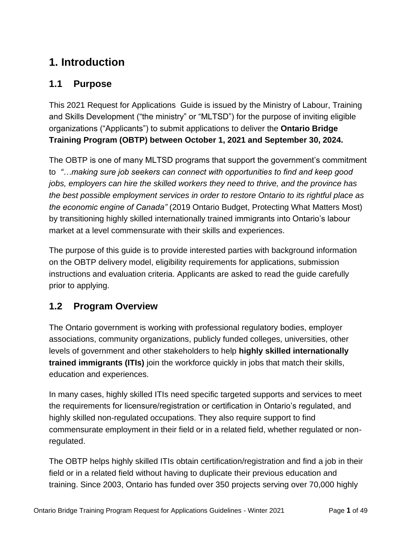## <span id="page-3-0"></span>**1. Introduction**

## <span id="page-3-1"></span>**1.1 Purpose**

This 2021 Request for Applications Guide is issued by the Ministry of Labour, Training and Skills Development ("the ministry" or "MLTSD") for the purpose of inviting eligible organizations ("Applicants") to submit applications to deliver the **Ontario Bridge Training Program (OBTP) between October 1, 2021 and September 30, 2024.** 

The OBTP is one of many MLTSD programs that support the government's commitment to *"…making sure job seekers can connect with opportunities to find and keep good jobs, employers can hire the skilled workers they need to thrive, and the province has the best possible employment services in order to restore Ontario to its rightful place as the economic engine of Canada"* (2019 Ontario Budget, Protecting What Matters Most) by transitioning highly skilled internationally trained immigrants into Ontario's labour market at a level commensurate with their skills and experiences.

The purpose of this guide is to provide interested parties with background information on the OBTP delivery model, eligibility requirements for applications, submission instructions and evaluation criteria. Applicants are asked to read the guide carefully prior to applying.

## <span id="page-3-2"></span>**1.2 Program Overview**

The Ontario government is working with professional regulatory bodies, employer associations, community organizations, publicly funded colleges, universities, other levels of government and other stakeholders to help **highly skilled internationally trained immigrants (ITIs)** join the workforce quickly in jobs that match their skills, education and experiences.

In many cases, highly skilled ITIs need specific targeted supports and services to meet the requirements for licensure/registration or certification in Ontario's regulated, and highly skilled non-regulated occupations. They also require support to find commensurate employment in their field or in a related field, whether regulated or nonregulated.

The OBTP helps highly skilled ITIs obtain certification/registration and find a job in their field or in a related field without having to duplicate their previous education and training. Since 2003, Ontario has funded over 350 projects serving over 70,000 highly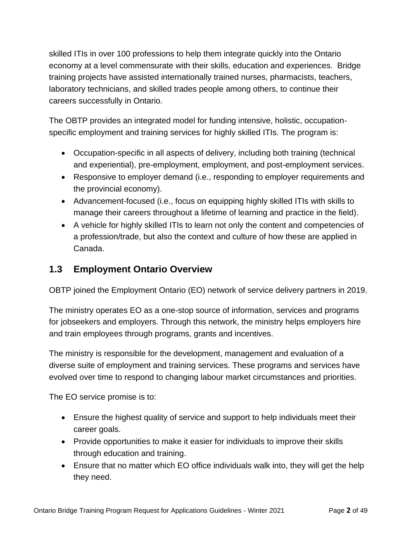skilled ITIs in over 100 professions to help them integrate quickly into the Ontario economy at a level commensurate with their skills, education and experiences. Bridge training projects have assisted internationally trained nurses, pharmacists, teachers, laboratory technicians, and skilled trades people among others, to continue their careers successfully in Ontario.

The OBTP provides an integrated model for funding intensive, holistic, occupationspecific employment and training services for highly skilled ITIs. The program is:

- Occupation-specific in all aspects of delivery, including both training (technical and experiential), pre-employment, employment, and post-employment services.
- Responsive to employer demand (i.e., responding to employer requirements and the provincial economy).
- Advancement-focused (i.e., focus on equipping highly skilled ITIs with skills to manage their careers throughout a lifetime of learning and practice in the field).
- A vehicle for highly skilled ITIs to learn not only the content and competencies of a profession/trade, but also the context and culture of how these are applied in Canada.

## <span id="page-4-0"></span>**1.3 Employment Ontario Overview**

OBTP joined the Employment Ontario (EO) network of service delivery partners in 2019.

The ministry operates EO as a one-stop source of information, services and programs for jobseekers and employers. Through this network, the ministry helps employers hire and train employees through programs, grants and incentives.

The ministry is responsible for the development, management and evaluation of a diverse suite of employment and training services. These programs and services have evolved over time to respond to changing labour market circumstances and priorities.

The EO service promise is to:

- Ensure the highest quality of service and support to help individuals meet their career goals.
- Provide opportunities to make it easier for individuals to improve their skills through education and training.
- Ensure that no matter which EO office individuals walk into, they will get the help they need.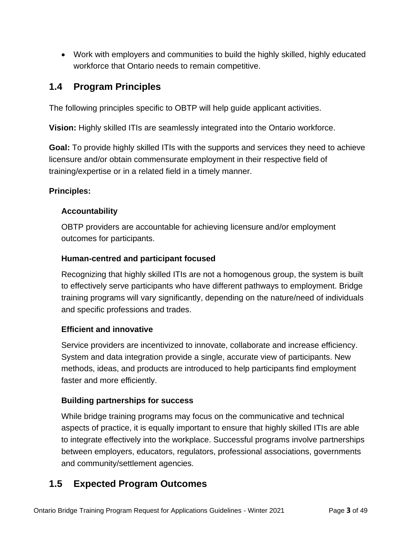• Work with employers and communities to build the highly skilled, highly educated workforce that Ontario needs to remain competitive.

## <span id="page-5-0"></span>**1.4 Program Principles**

The following principles specific to OBTP will help guide applicant activities.

**Vision:** Highly skilled ITIs are seamlessly integrated into the Ontario workforce.

**Goal:** To provide highly skilled ITIs with the supports and services they need to achieve licensure and/or obtain commensurate employment in their respective field of training/expertise or in a related field in a timely manner.

#### **Principles:**

#### **Accountability**

OBTP providers are accountable for achieving licensure and/or employment outcomes for participants.

#### **Human-centred and participant focused**

Recognizing that highly skilled ITIs are not a homogenous group, the system is built to effectively serve participants who have different pathways to employment. Bridge training programs will vary significantly, depending on the nature/need of individuals and specific professions and trades.

## **Efficient and innovative**

Service providers are incentivized to innovate, collaborate and increase efficiency. System and data integration provide a single, accurate view of participants. New methods, ideas, and products are introduced to help participants find employment faster and more efficiently.

## **Building partnerships for success**

While bridge training programs may focus on the communicative and technical aspects of practice, it is equally important to ensure that highly skilled ITIs are able to integrate effectively into the workplace. Successful programs involve partnerships between employers, educators, regulators, professional associations, governments and community/settlement agencies.

## <span id="page-5-1"></span>**1.5 Expected Program Outcomes**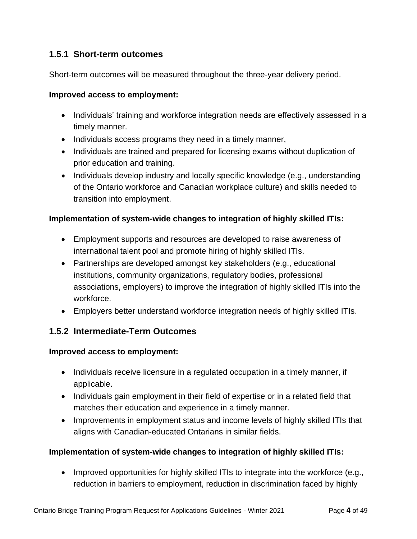#### <span id="page-6-0"></span>**1.5.1 Short-term outcomes**

Short-term outcomes will be measured throughout the three-year delivery period.

#### **Improved access to employment:**

- Individuals' training and workforce integration needs are effectively assessed in a timely manner.
- Individuals access programs they need in a timely manner,
- Individuals are trained and prepared for licensing exams without duplication of prior education and training.
- Individuals develop industry and locally specific knowledge (e.g., understanding of the Ontario workforce and Canadian workplace culture) and skills needed to transition into employment.

#### **Implementation of system-wide changes to integration of highly skilled ITIs:**

- Employment supports and resources are developed to raise awareness of international talent pool and promote hiring of highly skilled ITIs.
- Partnerships are developed amongst key stakeholders (e.g., educational institutions, community organizations, regulatory bodies, professional associations, employers) to improve the integration of highly skilled ITIs into the workforce.
- Employers better understand workforce integration needs of highly skilled ITIs.

#### <span id="page-6-1"></span>**1.5.2 Intermediate-Term Outcomes**

#### **Improved access to employment:**

- Individuals receive licensure in a regulated occupation in a timely manner, if applicable.
- Individuals gain employment in their field of expertise or in a related field that matches their education and experience in a timely manner.
- Improvements in employment status and income levels of highly skilled ITIs that aligns with Canadian-educated Ontarians in similar fields.

#### **Implementation of system-wide changes to integration of highly skilled ITIs:**

• Improved opportunities for highly skilled ITIs to integrate into the workforce (e.g., reduction in barriers to employment, reduction in discrimination faced by highly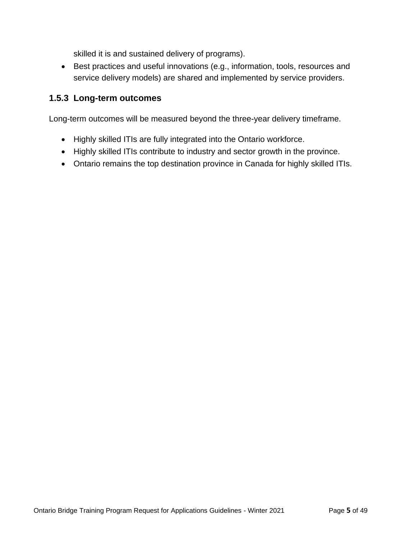skilled it is and sustained delivery of programs).

• Best practices and useful innovations (e.g., information, tools, resources and service delivery models) are shared and implemented by service providers.

#### <span id="page-7-0"></span>**1.5.3 Long-term outcomes**

Long-term outcomes will be measured beyond the three-year delivery timeframe.

- Highly skilled ITIs are fully integrated into the Ontario workforce.
- Highly skilled ITIs contribute to industry and sector growth in the province.
- Ontario remains the top destination province in Canada for highly skilled ITIs.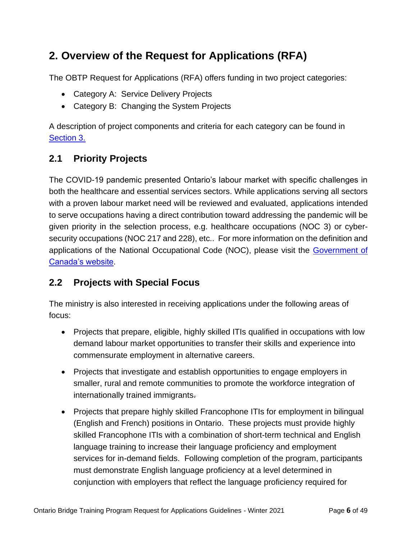## <span id="page-8-0"></span>**2. Overview of the Request for Applications (RFA)**

The OBTP Request for Applications (RFA) offers funding in two project categories:

- Category A: Service Delivery Projects
- Category B: Changing the System Projects

A description of project components and criteria for each category can be found in [Section 3.](#page-10-0)

## <span id="page-8-1"></span>**2.1 Priority Projects**

The COVID-19 pandemic presented Ontario's labour market with specific challenges in both the healthcare and essential services sectors. While applications serving all sectors with a proven labour market need will be reviewed and evaluated, applications intended to serve occupations having a direct contribution toward addressing the pandemic will be given priority in the selection process, e.g. healthcare occupations (NOC 3) or cybersecurity occupations (NOC 217 and 228), etc.. For more information on the definition and applications of the National Occupational Code (NOC), please visit the [Government of](https://noc.esdc.gc.ca/Home/Welcome/3dbc91ed423c4156b05555fa8b189023)  [Canada's website.](https://noc.esdc.gc.ca/Home/Welcome/3dbc91ed423c4156b05555fa8b189023)

## <span id="page-8-2"></span>**2.2 Projects with Special Focus**

The ministry is also interested in receiving applications under the following areas of focus:

- Projects that prepare, eligible, highly skilled ITIs qualified in occupations with low demand labour market opportunities to transfer their skills and experience into commensurate employment in alternative careers.
- Projects that investigate and establish opportunities to engage employers in smaller, rural and remote communities to promote the workforce integration of internationally trained immigrants.
- Projects that prepare highly skilled Francophone ITIs for employment in bilingual (English and French) positions in Ontario. These projects must provide highly skilled Francophone ITIs with a combination of short-term technical and English language training to increase their language proficiency and employment services for in-demand fields. Following completion of the program, participants must demonstrate English language proficiency at a level determined in conjunction with employers that reflect the language proficiency required for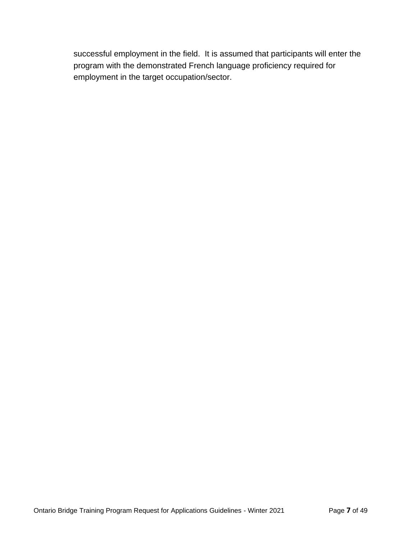successful employment in the field. It is assumed that participants will enter the program with the demonstrated French language proficiency required for employment in the target occupation/sector.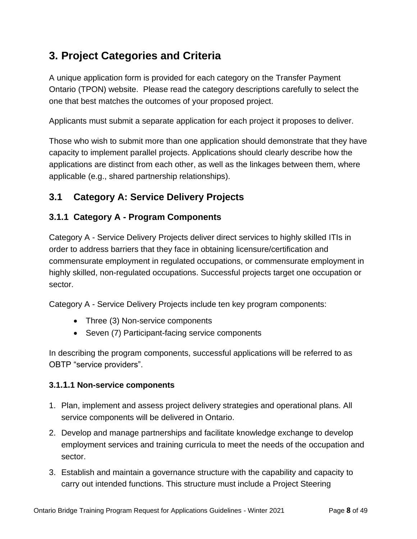## <span id="page-10-0"></span>**3. Project Categories and Criteria**

A unique application form is provided for each category on the Transfer Payment Ontario (TPON) website. Please read the category descriptions carefully to select the one that best matches the outcomes of your proposed project.

Applicants must submit a separate application for each project it proposes to deliver.

Those who wish to submit more than one application should demonstrate that they have capacity to implement parallel projects. Applications should clearly describe how the applications are distinct from each other, as well as the linkages between them, where applicable (e.g., shared partnership relationships).

## <span id="page-10-1"></span>**3.1 Category A: Service Delivery Projects**

## <span id="page-10-2"></span>**3.1.1 Category A - Program Components**

Category A - Service Delivery Projects deliver direct services to highly skilled ITIs in order to address barriers that they face in obtaining licensure/certification and commensurate employment in regulated occupations, or commensurate employment in highly skilled, non-regulated occupations. Successful projects target one occupation or sector.

Category A - Service Delivery Projects include ten key program components:

- Three (3) Non-service components
- Seven (7) Participant-facing service components

In describing the program components, successful applications will be referred to as OBTP "service providers".

#### **3.1.1.1 Non-service components**

- 1. Plan, implement and assess project delivery strategies and operational plans. All service components will be delivered in Ontario.
- 2. Develop and manage partnerships and facilitate knowledge exchange to develop employment services and training curricula to meet the needs of the occupation and sector.
- 3. Establish and maintain a governance structure with the capability and capacity to carry out intended functions. This structure must include a Project Steering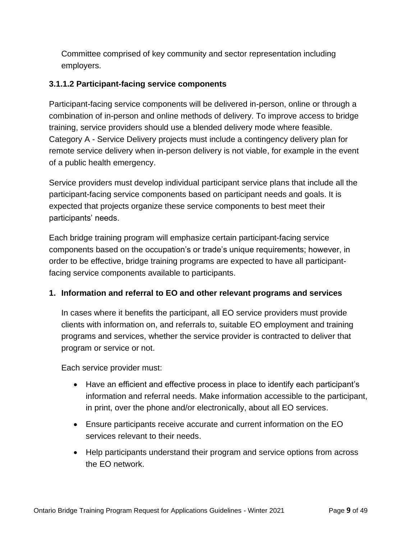Committee comprised of key community and sector representation including employers.

#### <span id="page-11-0"></span>**3.1.1.2 Participant-facing service components**

Participant-facing service components will be delivered in-person, online or through a combination of in-person and online methods of delivery. To improve access to bridge training, service providers should use a blended delivery mode where feasible. Category A - Service Delivery projects must include a contingency delivery plan for remote service delivery when in-person delivery is not viable, for example in the event of a public health emergency.

Service providers must develop individual participant service plans that include all the participant-facing service components based on participant needs and goals. It is expected that projects organize these service components to best meet their participants' needs.

Each bridge training program will emphasize certain participant-facing service components based on the occupation's or trade's unique requirements; however, in order to be effective, bridge training programs are expected to have all participantfacing service components available to participants.

#### **1. Information and referral to EO and other relevant programs and services**

In cases where it benefits the participant, all EO service providers must provide clients with information on, and referrals to, suitable EO employment and training programs and services, whether the service provider is contracted to deliver that program or service or not.

Each service provider must:

- Have an efficient and effective process in place to identify each participant's information and referral needs. Make information accessible to the participant, in print, over the phone and/or electronically, about all EO services.
- Ensure participants receive accurate and current information on the EO services relevant to their needs.
- Help participants understand their program and service options from across the EO network.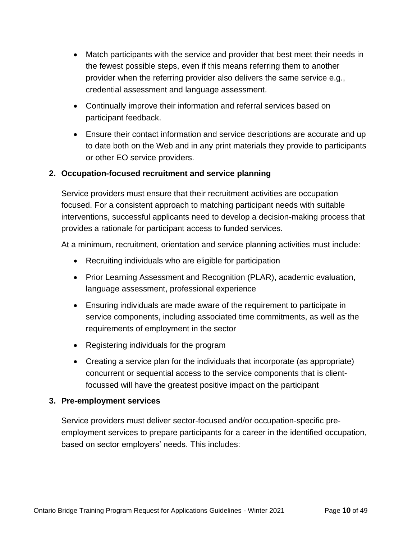- Match participants with the service and provider that best meet their needs in the fewest possible steps, even if this means referring them to another provider when the referring provider also delivers the same service e.g., credential assessment and language assessment.
- Continually improve their information and referral services based on participant feedback.
- Ensure their contact information and service descriptions are accurate and up to date both on the Web and in any print materials they provide to participants or other EO service providers.

#### **2. Occupation-focused recruitment and service planning**

Service providers must ensure that their recruitment activities are occupation focused. For a consistent approach to matching participant needs with suitable interventions, successful applicants need to develop a decision-making process that provides a rationale for participant access to funded services.

At a minimum, recruitment, orientation and service planning activities must include:

- Recruiting individuals who are eligible for participation
- Prior Learning Assessment and Recognition (PLAR), academic evaluation, language assessment, professional experience
- Ensuring individuals are made aware of the requirement to participate in service components, including associated time commitments, as well as the requirements of employment in the sector
- Registering individuals for the program
- Creating a service plan for the individuals that incorporate (as appropriate) concurrent or sequential access to the service components that is clientfocussed will have the greatest positive impact on the participant

#### **3. Pre-employment services**

Service providers must deliver sector-focused and/or occupation-specific preemployment services to prepare participants for a career in the identified occupation, based on sector employers' needs. This includes: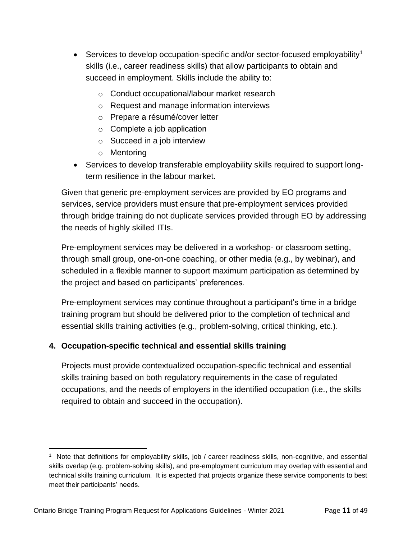- Services to develop occupation-specific and/or sector-focused employability<sup>1</sup> skills (i.e., career readiness skills) that allow participants to obtain and succeed in employment. Skills include the ability to:
	- o Conduct occupational/labour market research
	- o Request and manage information interviews
	- o Prepare a résumé/cover letter
	- $\circ$  Complete a job application
	- o Succeed in a job interview
	- o Mentoring
- Services to develop transferable employability skills required to support longterm resilience in the labour market.

Given that generic pre-employment services are provided by EO programs and services, service providers must ensure that pre-employment services provided through bridge training do not duplicate services provided through EO by addressing the needs of highly skilled ITIs.

Pre-employment services may be delivered in a workshop- or classroom setting, through small group, one-on-one coaching, or other media (e.g., by webinar), and scheduled in a flexible manner to support maximum participation as determined by the project and based on participants' preferences.

Pre-employment services may continue throughout a participant's time in a bridge training program but should be delivered prior to the completion of technical and essential skills training activities (e.g., problem-solving, critical thinking, etc.).

#### **4. Occupation-specific technical and essential skills training**

Projects must provide contextualized occupation-specific technical and essential skills training based on both regulatory requirements in the case of regulated occupations, and the needs of employers in the identified occupation (i.e., the skills required to obtain and succeed in the occupation).

<sup>1</sup> Note that definitions for employability skills, job / career readiness skills, non-cognitive, and essential skills overlap (e.g. problem-solving skills), and pre-employment curriculum may overlap with essential and technical skills training curriculum. It is expected that projects organize these service components to best meet their participants' needs.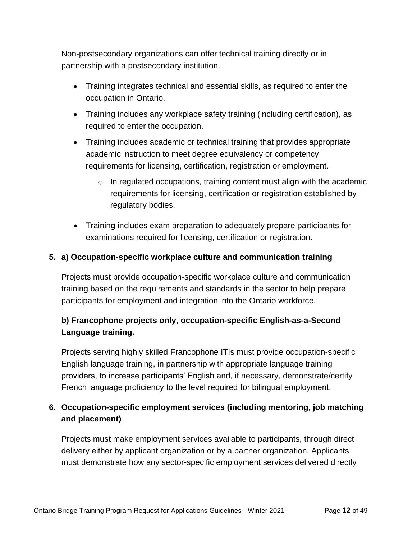Non-postsecondary organizations can offer technical training directly or in partnership with a postsecondary institution.

- Training integrates technical and essential skills, as required to enter the occupation in Ontario.
- Training includes any workplace safety training (including certification), as required to enter the occupation.
- Training includes academic or technical training that provides appropriate academic instruction to meet degree equivalency or competency requirements for licensing, certification, registration or employment.
	- $\circ$  In regulated occupations, training content must align with the academic requirements for licensing, certification or registration established by regulatory bodies.
- Training includes exam preparation to adequately prepare participants for examinations required for licensing, certification or registration.

#### **5. a) Occupation-specific workplace culture and communication training**

Projects must provide occupation-specific workplace culture and communication training based on the requirements and standards in the sector to help prepare participants for employment and integration into the Ontario workforce.

## **b) Francophone projects only, occupation-specific English-as-a-Second Language training.**

Projects serving highly skilled Francophone ITIs must provide occupation-specific English language training, in partnership with appropriate language training providers, to increase participants' English and, if necessary, demonstrate/certify French language proficiency to the level required for bilingual employment.

## **6. Occupation-specific employment services (including mentoring, job matching and placement)**

Projects must make employment services available to participants, through direct delivery either by applicant organization or by a partner organization. Applicants must demonstrate how any sector-specific employment services delivered directly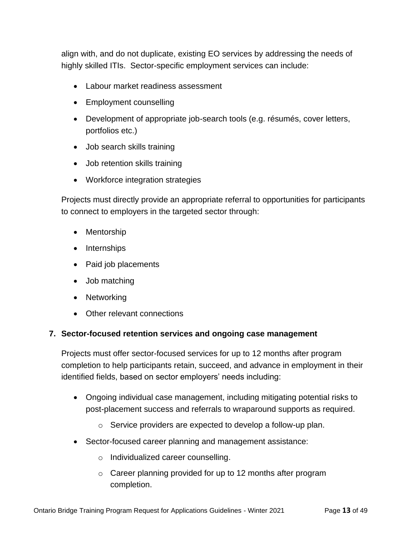align with, and do not duplicate, existing EO services by addressing the needs of highly skilled ITIs. Sector-specific employment services can include:

- Labour market readiness assessment
- Employment counselling
- Development of appropriate job-search tools (e.g. résumés, cover letters, portfolios etc.)
- Job search skills training
- Job retention skills training
- Workforce integration strategies

Projects must directly provide an appropriate referral to opportunities for participants to connect to employers in the targeted sector through:

- Mentorship
- Internships
- Paid job placements
- Job matching
- Networking
- Other relevant connections

#### **7. Sector-focused retention services and ongoing case management**

Projects must offer sector-focused services for up to 12 months after program completion to help participants retain, succeed, and advance in employment in their identified fields, based on sector employers' needs including:

- Ongoing individual case management, including mitigating potential risks to post-placement success and referrals to wraparound supports as required.
	- o Service providers are expected to develop a follow-up plan.
- Sector-focused career planning and management assistance:
	- o Individualized career counselling.
	- o Career planning provided for up to 12 months after program completion.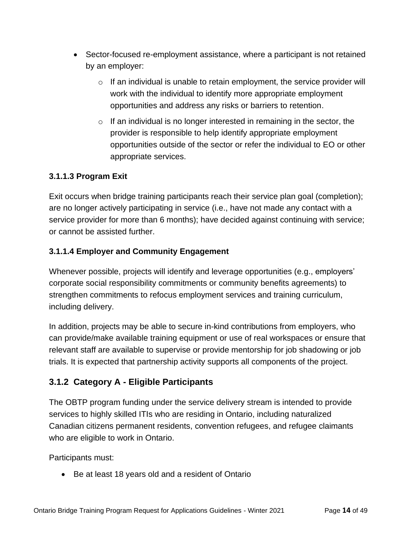- Sector-focused re-employment assistance, where a participant is not retained by an employer:
	- $\circ$  If an individual is unable to retain employment, the service provider will work with the individual to identify more appropriate employment opportunities and address any risks or barriers to retention.
	- $\circ$  If an individual is no longer interested in remaining in the sector, the provider is responsible to help identify appropriate employment opportunities outside of the sector or refer the individual to EO or other appropriate services.

#### **3.1.1.3 Program Exit**

Exit occurs when bridge training participants reach their service plan goal (completion); are no longer actively participating in service (i.e., have not made any contact with a service provider for more than 6 months); have decided against continuing with service; or cannot be assisted further.

#### **3.1.1.4 Employer and Community Engagement**

Whenever possible, projects will identify and leverage opportunities (e.g., employers' corporate social responsibility commitments or community benefits agreements) to strengthen commitments to refocus employment services and training curriculum, including delivery.

In addition, projects may be able to secure in-kind contributions from employers, who can provide/make available training equipment or use of real workspaces or ensure that relevant staff are available to supervise or provide mentorship for job shadowing or job trials. It is expected that partnership activity supports all components of the project.

## <span id="page-16-0"></span>**3.1.2 Category A - Eligible Participants**

The OBTP program funding under the service delivery stream is intended to provide services to highly skilled ITIs who are residing in Ontario, including naturalized Canadian citizens permanent residents, convention refugees, and refugee claimants who are eligible to work in Ontario.

Participants must:

• Be at least 18 years old and a resident of Ontario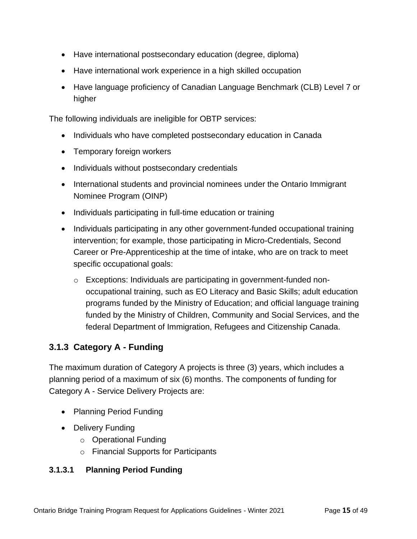- Have international postsecondary education (degree, diploma)
- Have international work experience in a high skilled occupation
- Have language proficiency of Canadian Language Benchmark (CLB) Level 7 or higher

The following individuals are ineligible for OBTP services:

- Individuals who have completed postsecondary education in Canada
- Temporary foreign workers
- Individuals without postsecondary credentials
- International students and provincial nominees under the Ontario Immigrant Nominee Program (OINP)
- Individuals participating in full-time education or training
- Individuals participating in any other government-funded occupational training intervention; for example, those participating in Micro-Credentials, Second Career or Pre-Apprenticeship at the time of intake, who are on track to meet specific occupational goals:
	- o Exceptions: Individuals are participating in government-funded nonoccupational training, such as EO Literacy and Basic Skills; adult education programs funded by the Ministry of Education; and official language training funded by the Ministry of Children, Community and Social Services, and the federal Department of Immigration, Refugees and Citizenship Canada.

## <span id="page-17-0"></span>**3.1.3 Category A - Funding**

The maximum duration of Category A projects is three (3) years, which includes a planning period of a maximum of six (6) months. The components of funding for Category A - Service Delivery Projects are:

- Planning Period Funding
- Delivery Funding
	- o Operational Funding
	- o Financial Supports for Participants

#### **3.1.3.1 Planning Period Funding**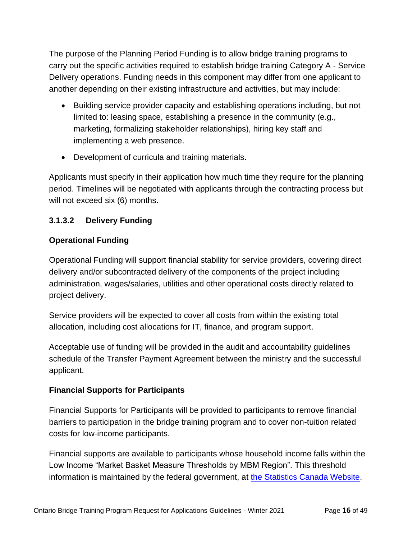The purpose of the Planning Period Funding is to allow bridge training programs to carry out the specific activities required to establish bridge training Category A - Service Delivery operations. Funding needs in this component may differ from one applicant to another depending on their existing infrastructure and activities, but may include:

- Building service provider capacity and establishing operations including, but not limited to: leasing space, establishing a presence in the community (e.g., marketing, formalizing stakeholder relationships), hiring key staff and implementing a web presence.
- Development of curricula and training materials.

Applicants must specify in their application how much time they require for the planning period. Timelines will be negotiated with applicants through the contracting process but will not exceed six (6) months.

#### **3.1.3.2 Delivery Funding**

#### **Operational Funding**

Operational Funding will support financial stability for service providers, covering direct delivery and/or subcontracted delivery of the components of the project including administration, wages/salaries, utilities and other operational costs directly related to project delivery.

Service providers will be expected to cover all costs from within the existing total allocation, including cost allocations for IT, finance, and program support.

Acceptable use of funding will be provided in the audit and accountability guidelines schedule of the Transfer Payment Agreement between the ministry and the successful applicant.

#### **Financial Supports for Participants**

Financial Supports for Participants will be provided to participants to remove financial barriers to participation in the bridge training program and to cover non-tuition related costs for low-income participants.

Financial supports are available to participants whose household income falls within the Low Income "Market Basket Measure Thresholds by MBM Region". This threshold information is maintained by the federal government, at [the Statistics Canada Website.](https://www150.statcan.gc.ca/t1/tbl1/en/tv.action?pid=1110006601)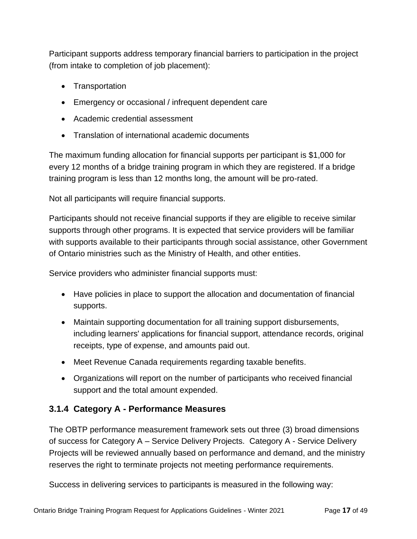Participant supports address temporary financial barriers to participation in the project (from intake to completion of job placement):

- Transportation
- Emergency or occasional / infrequent dependent care
- Academic credential assessment
- Translation of international academic documents

The maximum funding allocation for financial supports per participant is \$1,000 for every 12 months of a bridge training program in which they are registered. If a bridge training program is less than 12 months long, the amount will be pro-rated.

Not all participants will require financial supports.

Participants should not receive financial supports if they are eligible to receive similar supports through other programs. It is expected that service providers will be familiar with supports available to their participants through social assistance, other Government of Ontario ministries such as the Ministry of Health, and other entities.

Service providers who administer financial supports must:

- Have policies in place to support the allocation and documentation of financial supports.
- Maintain supporting documentation for all training support disbursements, including learners' applications for financial support, attendance records, original receipts, type of expense, and amounts paid out.
- Meet Revenue Canada requirements regarding taxable benefits.
- Organizations will report on the number of participants who received financial support and the total amount expended.

## <span id="page-19-0"></span>**3.1.4 Category A - Performance Measures**

The OBTP performance measurement framework sets out three (3) broad dimensions of success for Category A – Service Delivery Projects. Category A - Service Delivery Projects will be reviewed annually based on performance and demand, and the ministry reserves the right to terminate projects not meeting performance requirements.

Success in delivering services to participants is measured in the following way: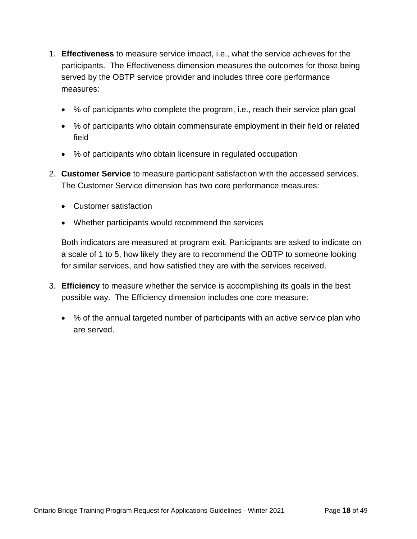- 1. **Effectiveness** to measure service impact, i.e., what the service achieves for the participants. The Effectiveness dimension measures the outcomes for those being served by the OBTP service provider and includes three core performance measures:
	- % of participants who complete the program, i.e., reach their service plan goal
	- % of participants who obtain commensurate employment in their field or related field
	- % of participants who obtain licensure in regulated occupation
- 2. **Customer Service** to measure participant satisfaction with the accessed services. The Customer Service dimension has two core performance measures:
	- Customer satisfaction
	- Whether participants would recommend the services

Both indicators are measured at program exit. Participants are asked to indicate on a scale of 1 to 5, how likely they are to recommend the OBTP to someone looking for similar services, and how satisfied they are with the services received.

- 3. **Efficiency** to measure whether the service is accomplishing its goals in the best possible way. The Efficiency dimension includes one core measure:
	- % of the annual targeted number of participants with an active service plan who are served.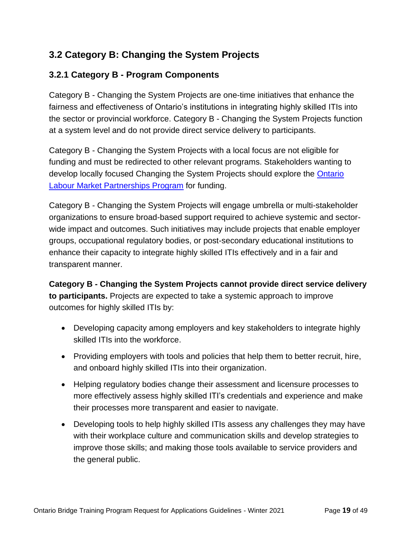## <span id="page-21-0"></span>**3.2 Category B: Changing the System Projects**

## <span id="page-21-1"></span>**3.2.1 Category B - Program Components**

Category B - Changing the System Projects are one-time initiatives that enhance the fairness and effectiveness of Ontario's institutions in integrating highly skilled ITIs into the sector or provincial workforce. Category B - Changing the System Projects function at a system level and do not provide direct service delivery to participants.

Category B - Changing the System Projects with a local focus are not eligible for funding and must be redirected to other relevant programs. Stakeholders wanting to develop locally focused Changing the System Projects should explore the [Ontario](http://www.tcu.gov.on.ca/eng/eopg/programs/lmp.html)  [Labour Market Partnerships Program](http://www.tcu.gov.on.ca/eng/eopg/programs/lmp.html) for funding.

Category B - Changing the System Projects will engage umbrella or multi-stakeholder organizations to ensure broad-based support required to achieve systemic and sectorwide impact and outcomes. Such initiatives may include projects that enable employer groups, occupational regulatory bodies, or post-secondary educational institutions to enhance their capacity to integrate highly skilled ITIs effectively and in a fair and transparent manner.

**Category B - Changing the System Projects cannot provide direct service delivery to participants.** Projects are expected to take a systemic approach to improve outcomes for highly skilled ITIs by:

- Developing capacity among employers and key stakeholders to integrate highly skilled ITIs into the workforce.
- Providing employers with tools and policies that help them to better recruit, hire, and onboard highly skilled ITIs into their organization.
- Helping regulatory bodies change their assessment and licensure processes to more effectively assess highly skilled ITI's credentials and experience and make their processes more transparent and easier to navigate.
- Developing tools to help highly skilled ITIs assess any challenges they may have with their workplace culture and communication skills and develop strategies to improve those skills; and making those tools available to service providers and the general public.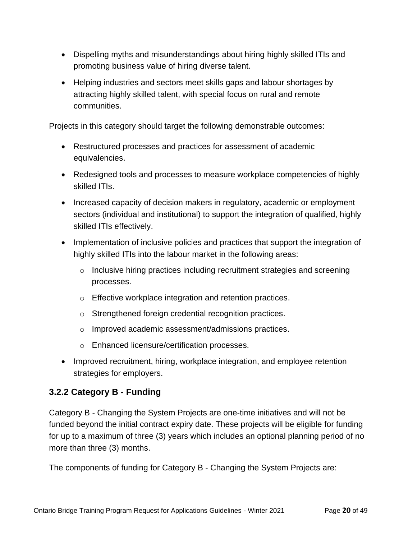- Dispelling myths and misunderstandings about hiring highly skilled ITIs and promoting business value of hiring diverse talent.
- Helping industries and sectors meet skills gaps and labour shortages by attracting highly skilled talent, with special focus on rural and remote communities.

Projects in this category should target the following demonstrable outcomes:

- Restructured processes and practices for assessment of academic equivalencies.
- Redesigned tools and processes to measure workplace competencies of highly skilled ITIs.
- Increased capacity of decision makers in regulatory, academic or employment sectors (individual and institutional) to support the integration of qualified, highly skilled ITIs effectively.
- Implementation of inclusive policies and practices that support the integration of highly skilled ITIs into the labour market in the following areas:
	- $\circ$  Inclusive hiring practices including recruitment strategies and screening processes.
	- o Effective workplace integration and retention practices.
	- o Strengthened foreign credential recognition practices.
	- o Improved academic assessment/admissions practices.
	- o Enhanced licensure/certification processes.
- Improved recruitment, hiring, workplace integration, and employee retention strategies for employers.

## <span id="page-22-0"></span>**3.2.2 Category B - Funding**

Category B - Changing the System Projects are one-time initiatives and will not be funded beyond the initial contract expiry date. These projects will be eligible for funding for up to a maximum of three (3) years which includes an optional planning period of no more than three (3) months.

The components of funding for Category B - Changing the System Projects are: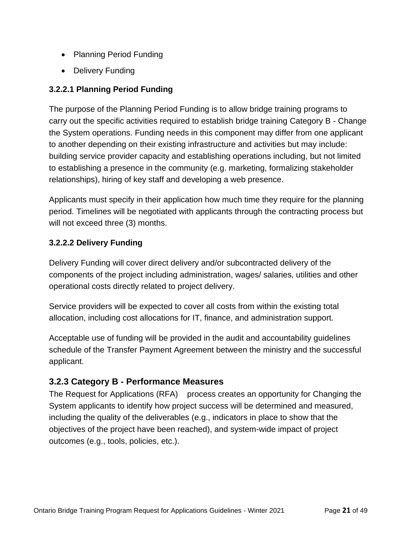- Planning Period Funding
- Delivery Funding

#### **3.2.2.1 Planning Period Funding**

The purpose of the Planning Period Funding is to allow bridge training programs to carry out the specific activities required to establish bridge training Category B - Change the System operations. Funding needs in this component may differ from one applicant to another depending on their existing infrastructure and activities but may include: building service provider capacity and establishing operations including, but not limited to establishing a presence in the community (e.g. marketing, formalizing stakeholder relationships), hiring of key staff and developing a web presence.

Applicants must specify in their application how much time they require for the planning period. Timelines will be negotiated with applicants through the contracting process but will not exceed three (3) months.

#### **3.2.2.2 Delivery Funding**

Delivery Funding will cover direct delivery and/or subcontracted delivery of the components of the project including administration, wages/ salaries, utilities and other operational costs directly related to project delivery.

Service providers will be expected to cover all costs from within the existing total allocation, including cost allocations for IT, finance, and administration support.

Acceptable use of funding will be provided in the audit and accountability guidelines schedule of the Transfer Payment Agreement between the ministry and the successful applicant.

## <span id="page-23-0"></span>**3.2.3 Category B - Performance Measures**

The Request for Applications (RFA) process creates an opportunity for Changing the System applicants to identify how project success will be determined and measured, including the quality of the deliverables (e.g., indicators in place to show that the objectives of the project have been reached), and system-wide impact of project outcomes (e.g., tools, policies, etc.).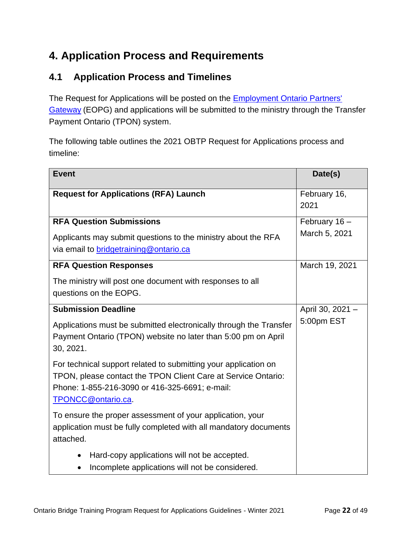## <span id="page-24-0"></span>**4. Application Process and Requirements**

## <span id="page-24-1"></span>**4.1 Application Process and Timelines**

The Request for Applications will be posted on the **Employment Ontario Partners'** [Gateway](http://www.tcu.gov.on.ca/eng/eopg/newpostings/) (EOPG) and applications will be submitted to the ministry through the Transfer Payment Ontario (TPON) system.

The following table outlines the 2021 OBTP Request for Applications process and timeline:

| <b>Event</b>                                                                                                                                                                                             | Date(s)              |
|----------------------------------------------------------------------------------------------------------------------------------------------------------------------------------------------------------|----------------------|
| <b>Request for Applications (RFA) Launch</b>                                                                                                                                                             | February 16,<br>2021 |
| <b>RFA Question Submissions</b>                                                                                                                                                                          | February 16 -        |
| Applicants may submit questions to the ministry about the RFA<br>via email to bridgetraining@ontario.ca                                                                                                  | March 5, 2021        |
| <b>RFA Question Responses</b>                                                                                                                                                                            | March 19, 2021       |
| The ministry will post one document with responses to all<br>questions on the EOPG.                                                                                                                      |                      |
| <b>Submission Deadline</b>                                                                                                                                                                               | April 30, 2021 -     |
| Applications must be submitted electronically through the Transfer<br>Payment Ontario (TPON) website no later than 5:00 pm on April<br>30, 2021.                                                         | 5:00pm EST           |
| For technical support related to submitting your application on<br>TPON, please contact the TPON Client Care at Service Ontario:<br>Phone: 1-855-216-3090 or 416-325-6691; e-mail:<br>TPONCC@ontario.ca. |                      |
| To ensure the proper assessment of your application, your<br>application must be fully completed with all mandatory documents<br>attached.                                                               |                      |
| Hard-copy applications will not be accepted.<br>$\bullet$                                                                                                                                                |                      |
| Incomplete applications will not be considered.                                                                                                                                                          |                      |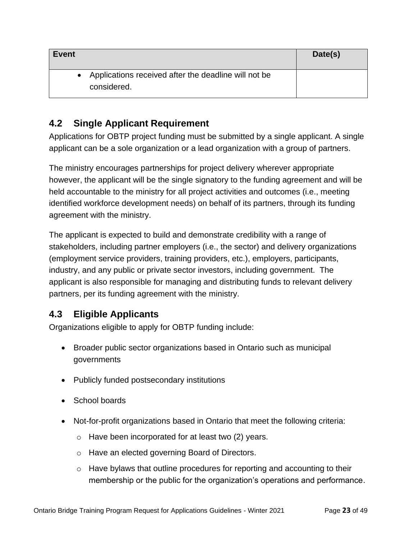| <b>Event</b>                                                          | Date(s) |
|-----------------------------------------------------------------------|---------|
| • Applications received after the deadline will not be<br>considered. |         |

## <span id="page-25-0"></span>**4.2 Single Applicant Requirement**

Applications for OBTP project funding must be submitted by a single applicant. A single applicant can be a sole organization or a lead organization with a group of partners.

The ministry encourages partnerships for project delivery wherever appropriate however, the applicant will be the single signatory to the funding agreement and will be held accountable to the ministry for all project activities and outcomes (i.e., meeting identified workforce development needs) on behalf of its partners, through its funding agreement with the ministry.

The applicant is expected to build and demonstrate credibility with a range of stakeholders, including partner employers (i.e., the sector) and delivery organizations (employment service providers, training providers, etc.), employers, participants, industry, and any public or private sector investors, including government. The applicant is also responsible for managing and distributing funds to relevant delivery partners, per its funding agreement with the ministry.

## <span id="page-25-1"></span>**4.3 Eligible Applicants**

Organizations eligible to apply for OBTP funding include:

- Broader public sector organizations based in Ontario such as municipal governments
- Publicly funded postsecondary institutions
- School boards
- Not-for-profit organizations based in Ontario that meet the following criteria:
	- o Have been incorporated for at least two (2) years.
	- o Have an elected governing Board of Directors.
	- $\circ$  Have bylaws that outline procedures for reporting and accounting to their membership or the public for the organization's operations and performance.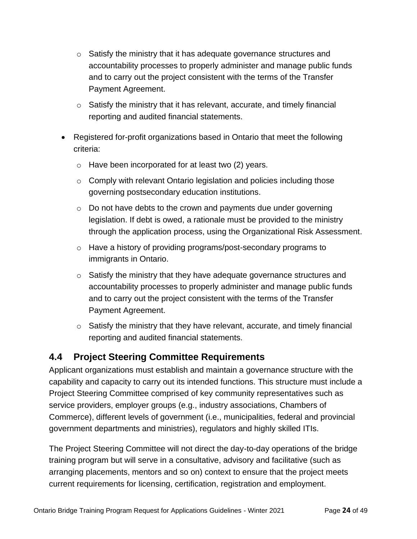- o Satisfy the ministry that it has adequate governance structures and accountability processes to properly administer and manage public funds and to carry out the project consistent with the terms of the Transfer Payment Agreement.
- $\circ$  Satisfy the ministry that it has relevant, accurate, and timely financial reporting and audited financial statements.
- Registered for-profit organizations based in Ontario that meet the following criteria:
	- o Have been incorporated for at least two (2) years.
	- $\circ$  Comply with relevant Ontario legislation and policies including those governing postsecondary education institutions.
	- $\circ$  Do not have debts to the crown and payments due under governing legislation. If debt is owed, a rationale must be provided to the ministry through the application process, using the Organizational Risk Assessment.
	- o Have a history of providing programs/post-secondary programs to immigrants in Ontario.
	- o Satisfy the ministry that they have adequate governance structures and accountability processes to properly administer and manage public funds and to carry out the project consistent with the terms of the Transfer Payment Agreement.
	- $\circ$  Satisfy the ministry that they have relevant, accurate, and timely financial reporting and audited financial statements.

## <span id="page-26-0"></span>**4.4 Project Steering Committee Requirements**

Applicant organizations must establish and maintain a governance structure with the capability and capacity to carry out its intended functions. This structure must include a Project Steering Committee comprised of key community representatives such as service providers, employer groups (e.g., industry associations, Chambers of Commerce), different levels of government (i.e., municipalities, federal and provincial government departments and ministries), regulators and highly skilled ITIs.

The Project Steering Committee will not direct the day-to-day operations of the bridge training program but will serve in a consultative, advisory and facilitative (such as arranging placements, mentors and so on) context to ensure that the project meets current requirements for licensing, certification, registration and employment.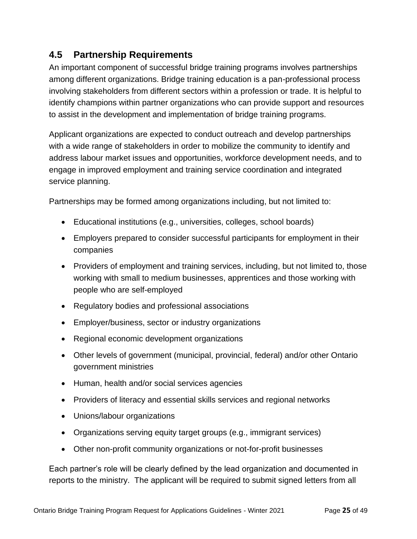## <span id="page-27-0"></span>**4.5 Partnership Requirements**

An important component of successful bridge training programs involves partnerships among different organizations. Bridge training education is a pan-professional process involving stakeholders from different sectors within a profession or trade. It is helpful to identify champions within partner organizations who can provide support and resources to assist in the development and implementation of bridge training programs.

Applicant organizations are expected to conduct outreach and develop partnerships with a wide range of stakeholders in order to mobilize the community to identify and address labour market issues and opportunities, workforce development needs, and to engage in improved employment and training service coordination and integrated service planning.

Partnerships may be formed among organizations including, but not limited to:

- Educational institutions (e.g., universities, colleges, school boards)
- Employers prepared to consider successful participants for employment in their companies
- Providers of employment and training services, including, but not limited to, those working with small to medium businesses, apprentices and those working with people who are self-employed
- Regulatory bodies and professional associations
- Employer/business, sector or industry organizations
- Regional economic development organizations
- Other levels of government (municipal, provincial, federal) and/or other Ontario government ministries
- Human, health and/or social services agencies
- Providers of literacy and essential skills services and regional networks
- Unions/labour organizations
- Organizations serving equity target groups (e.g., immigrant services)
- Other non-profit community organizations or not-for-profit businesses

Each partner's role will be clearly defined by the lead organization and documented in reports to the ministry. The applicant will be required to submit signed letters from all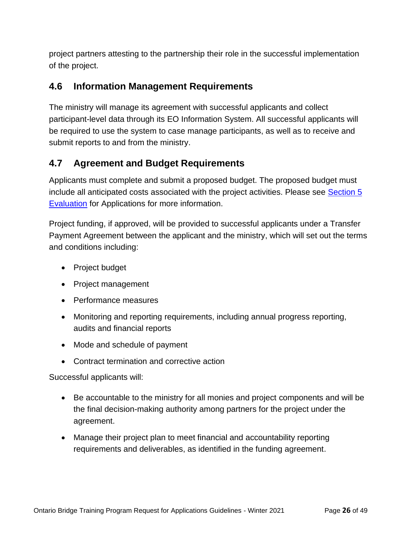project partners attesting to the partnership their role in the successful implementation of the project.

## <span id="page-28-0"></span>**4.6 Information Management Requirements**

The ministry will manage its agreement with successful applicants and collect participant-level data through its EO Information System. All successful applicants will be required to use the system to case manage participants, as well as to receive and submit reports to and from the ministry.

## <span id="page-28-1"></span>**4.7 Agreement and Budget Requirements**

Applicants must complete and submit a proposed budget. The proposed budget must include all anticipated costs associated with the project activities. Please see [Section 5](#page-31-0)  [Evaluation](#page-31-0) for Applications for more information.

Project funding, if approved, will be provided to successful applicants under a Transfer Payment Agreement between the applicant and the ministry, which will set out the terms and conditions including:

- Project budget
- Project management
- Performance measures
- Monitoring and reporting requirements, including annual progress reporting, audits and financial reports
- Mode and schedule of payment
- Contract termination and corrective action

Successful applicants will:

- Be accountable to the ministry for all monies and project components and will be the final decision-making authority among partners for the project under the agreement.
- Manage their project plan to meet financial and accountability reporting requirements and deliverables, as identified in the funding agreement.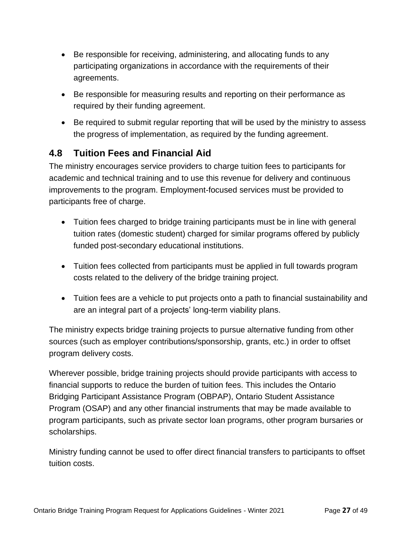- Be responsible for receiving, administering, and allocating funds to any participating organizations in accordance with the requirements of their agreements.
- Be responsible for measuring results and reporting on their performance as required by their funding agreement.
- Be required to submit regular reporting that will be used by the ministry to assess the progress of implementation, as required by the funding agreement.

## <span id="page-29-0"></span>**4.8 Tuition Fees and Financial Aid**

The ministry encourages service providers to charge tuition fees to participants for academic and technical training and to use this revenue for delivery and continuous improvements to the program. Employment-focused services must be provided to participants free of charge.

- Tuition fees charged to bridge training participants must be in line with general tuition rates (domestic student) charged for similar programs offered by publicly funded post-secondary educational institutions.
- Tuition fees collected from participants must be applied in full towards program costs related to the delivery of the bridge training project.
- Tuition fees are a vehicle to put projects onto a path to financial sustainability and are an integral part of a projects' long-term viability plans.

The ministry expects bridge training projects to pursue alternative funding from other sources (such as employer contributions/sponsorship, grants, etc.) in order to offset program delivery costs.

Wherever possible, bridge training projects should provide participants with access to financial supports to reduce the burden of tuition fees. This includes the Ontario Bridging Participant Assistance Program (OBPAP), Ontario Student Assistance Program (OSAP) and any other financial instruments that may be made available to program participants, such as private sector loan programs, other program bursaries or scholarships.

Ministry funding cannot be used to offer direct financial transfers to participants to offset tuition costs.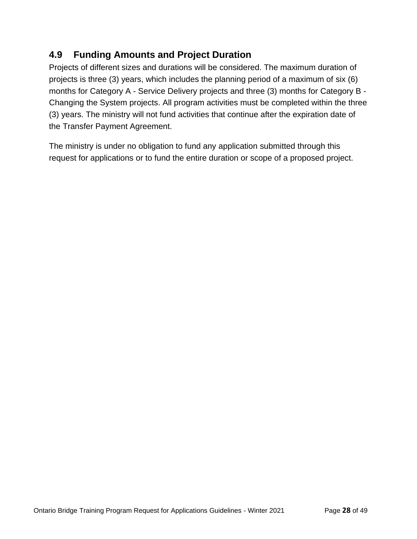## <span id="page-30-0"></span>**4.9 Funding Amounts and Project Duration**

Projects of different sizes and durations will be considered. The maximum duration of projects is three (3) years, which includes the planning period of a maximum of six (6) months for Category A - Service Delivery projects and three (3) months for Category B - Changing the System projects. All program activities must be completed within the three (3) years. The ministry will not fund activities that continue after the expiration date of the Transfer Payment Agreement.

The ministry is under no obligation to fund any application submitted through this request for applications or to fund the entire duration or scope of a proposed project.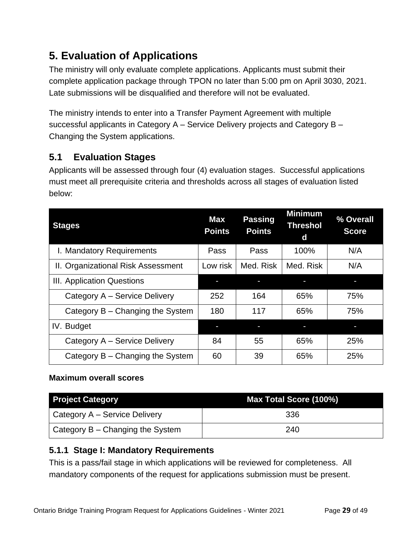## <span id="page-31-0"></span>**5. Evaluation of Applications**

The ministry will only evaluate complete applications. Applicants must submit their complete application package through TPON no later than 5:00 pm on April 3030, 2021. Late submissions will be disqualified and therefore will not be evaluated.

The ministry intends to enter into a Transfer Payment Agreement with multiple successful applicants in Category A – Service Delivery projects and Category B – Changing the System applications.

## <span id="page-31-1"></span>**5.1 Evaluation Stages**

Applicants will be assessed through four (4) evaluation stages. Successful applications must meet all prerequisite criteria and thresholds across all stages of evaluation listed below:

| <b>Stages</b>                      | <b>Max</b><br><b>Points</b> | <b>Passing</b><br><b>Points</b> | <b>Minimum</b><br><b>Threshol</b><br>d | % Overall<br><b>Score</b> |
|------------------------------------|-----------------------------|---------------------------------|----------------------------------------|---------------------------|
| I. Mandatory Requirements          | Pass                        | Pass                            | 100%                                   | N/A                       |
| II. Organizational Risk Assessment | Low risk                    | Med. Risk                       | Med. Risk                              | N/A                       |
| III. Application Questions         |                             |                                 |                                        |                           |
| Category A – Service Delivery      | 252                         | 164                             | 65%                                    | 75%                       |
| Category B – Changing the System   | 180                         | 117                             | 65%                                    | 75%                       |
| IV. Budget                         |                             |                                 | ı                                      |                           |
| Category A – Service Delivery      | 84                          | 55                              | 65%                                    | 25%                       |
| Category B – Changing the System   | 60                          | 39                              | 65%                                    | 25%                       |

## **Maximum overall scores**

| <b>Project Category</b>                  | Max Total Score (100%) |
|------------------------------------------|------------------------|
| Category A – Service Delivery            | 336                    |
| $\vert$ Category B – Changing the System | 240                    |

## <span id="page-31-2"></span>**5.1.1 Stage I: Mandatory Requirements**

This is a pass/fail stage in which applications will be reviewed for completeness. All mandatory components of the request for applications submission must be present.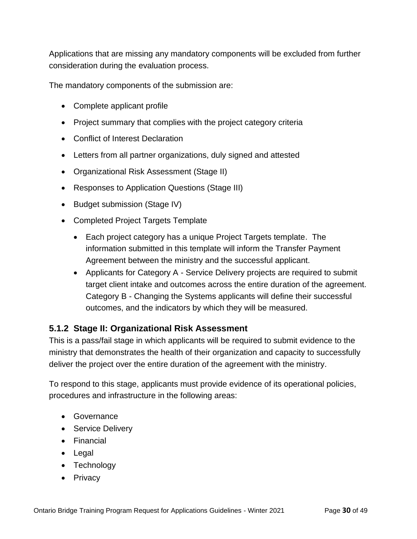Applications that are missing any mandatory components will be excluded from further consideration during the evaluation process.

The mandatory components of the submission are:

- Complete applicant profile
- Project summary that complies with the project category criteria
- Conflict of Interest Declaration
- Letters from all partner organizations, duly signed and attested
- Organizational Risk Assessment (Stage II)
- Responses to Application Questions (Stage III)
- Budget submission (Stage IV)
- Completed Project Targets Template
	- Each project category has a unique Project Targets template. The information submitted in this template will inform the Transfer Payment Agreement between the ministry and the successful applicant.
	- Applicants for Category A Service Delivery projects are required to submit target client intake and outcomes across the entire duration of the agreement. Category B - Changing the Systems applicants will define their successful outcomes, and the indicators by which they will be measured.

#### <span id="page-32-0"></span>**5.1.2 Stage II: Organizational Risk Assessment**

This is a pass/fail stage in which applicants will be required to submit evidence to the ministry that demonstrates the health of their organization and capacity to successfully deliver the project over the entire duration of the agreement with the ministry.

To respond to this stage, applicants must provide evidence of its operational policies, procedures and infrastructure in the following areas:

- Governance
- Service Delivery
- Financial
- Legal
- Technology
- Privacy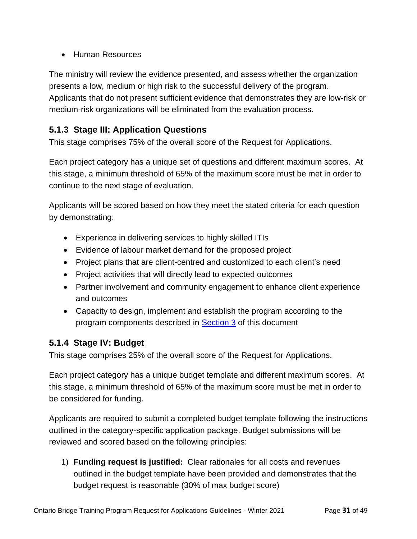• Human Resources

The ministry will review the evidence presented, and assess whether the organization presents a low, medium or high risk to the successful delivery of the program. Applicants that do not present sufficient evidence that demonstrates they are low-risk or medium-risk organizations will be eliminated from the evaluation process.

## <span id="page-33-0"></span>**5.1.3 Stage III: Application Questions**

This stage comprises 75% of the overall score of the Request for Applications.

Each project category has a unique set of questions and different maximum scores. At this stage, a minimum threshold of 65% of the maximum score must be met in order to continue to the next stage of evaluation.

Applicants will be scored based on how they meet the stated criteria for each question by demonstrating:

- Experience in delivering services to highly skilled ITIs
- Evidence of labour market demand for the proposed project
- Project plans that are client-centred and customized to each client's need
- Project activities that will directly lead to expected outcomes
- Partner involvement and community engagement to enhance client experience and outcomes
- Capacity to design, implement and establish the program according to the program components described in **Section 3** of this document

#### <span id="page-33-1"></span>**5.1.4 Stage IV: Budget**

This stage comprises 25% of the overall score of the Request for Applications.

Each project category has a unique budget template and different maximum scores. At this stage, a minimum threshold of 65% of the maximum score must be met in order to be considered for funding.

Applicants are required to submit a completed budget template following the instructions outlined in the category-specific application package. Budget submissions will be reviewed and scored based on the following principles:

1) **Funding request is justified:** Clear rationales for all costs and revenues outlined in the budget template have been provided and demonstrates that the budget request is reasonable (30% of max budget score)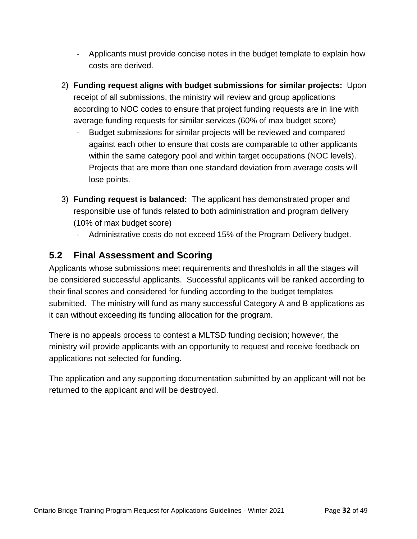- Applicants must provide concise notes in the budget template to explain how costs are derived.
- 2) **Funding request aligns with budget submissions for similar projects:** Upon receipt of all submissions, the ministry will review and group applications according to NOC codes to ensure that project funding requests are in line with average funding requests for similar services (60% of max budget score)
	- Budget submissions for similar projects will be reviewed and compared against each other to ensure that costs are comparable to other applicants within the same category pool and within target occupations (NOC levels). Projects that are more than one standard deviation from average costs will lose points.
- 3) **Funding request is balanced:** The applicant has demonstrated proper and responsible use of funds related to both administration and program delivery (10% of max budget score)
	- Administrative costs do not exceed 15% of the Program Delivery budget.

## <span id="page-34-0"></span>**5.2 Final Assessment and Scoring**

Applicants whose submissions meet requirements and thresholds in all the stages will be considered successful applicants. Successful applicants will be ranked according to their final scores and considered for funding according to the budget templates submitted. The ministry will fund as many successful Category A and B applications as it can without exceeding its funding allocation for the program.

There is no appeals process to contest a MLTSD funding decision; however, the ministry will provide applicants with an opportunity to request and receive feedback on applications not selected for funding.

The application and any supporting documentation submitted by an applicant will not be returned to the applicant and will be destroyed.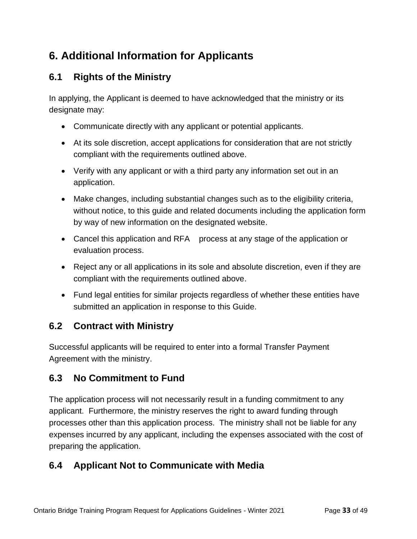## <span id="page-35-0"></span>**6. Additional Information for Applicants**

## <span id="page-35-1"></span>**6.1 Rights of the Ministry**

In applying, the Applicant is deemed to have acknowledged that the ministry or its designate may:

- Communicate directly with any applicant or potential applicants.
- At its sole discretion, accept applications for consideration that are not strictly compliant with the requirements outlined above.
- Verify with any applicant or with a third party any information set out in an application.
- Make changes, including substantial changes such as to the eligibility criteria, without notice, to this guide and related documents including the application form by way of new information on the designated website.
- Cancel this application and RFA process at any stage of the application or evaluation process.
- Reject any or all applications in its sole and absolute discretion, even if they are compliant with the requirements outlined above.
- Fund legal entities for similar projects regardless of whether these entities have submitted an application in response to this Guide.

## <span id="page-35-2"></span>**6.2 Contract with Ministry**

Successful applicants will be required to enter into a formal Transfer Payment Agreement with the ministry.

## <span id="page-35-3"></span>**6.3 No Commitment to Fund**

The application process will not necessarily result in a funding commitment to any applicant. Furthermore, the ministry reserves the right to award funding through processes other than this application process. The ministry shall not be liable for any expenses incurred by any applicant, including the expenses associated with the cost of preparing the application.

## <span id="page-35-4"></span>**6.4 Applicant Not to Communicate with Media**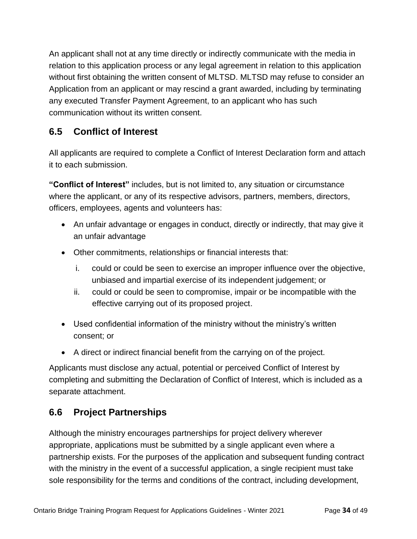An applicant shall not at any time directly or indirectly communicate with the media in relation to this application process or any legal agreement in relation to this application without first obtaining the written consent of MLTSD. MLTSD may refuse to consider an Application from an applicant or may rescind a grant awarded, including by terminating any executed Transfer Payment Agreement, to an applicant who has such communication without its written consent.

## <span id="page-36-0"></span>**6.5 Conflict of Interest**

All applicants are required to complete a Conflict of Interest Declaration form and attach it to each submission.

**"Conflict of Interest"** includes, but is not limited to, any situation or circumstance where the applicant, or any of its respective advisors, partners, members, directors, officers, employees, agents and volunteers has:

- An unfair advantage or engages in conduct, directly or indirectly, that may give it an unfair advantage
- Other commitments, relationships or financial interests that:
	- i. could or could be seen to exercise an improper influence over the objective, unbiased and impartial exercise of its independent judgement; or
	- ii. could or could be seen to compromise, impair or be incompatible with the effective carrying out of its proposed project.
- Used confidential information of the ministry without the ministry's written consent; or
- A direct or indirect financial benefit from the carrying on of the project.

Applicants must disclose any actual, potential or perceived Conflict of Interest by completing and submitting the Declaration of Conflict of Interest, which is included as a separate attachment.

## <span id="page-36-1"></span>**6.6 Project Partnerships**

Although the ministry encourages partnerships for project delivery wherever appropriate, applications must be submitted by a single applicant even where a partnership exists. For the purposes of the application and subsequent funding contract with the ministry in the event of a successful application, a single recipient must take sole responsibility for the terms and conditions of the contract, including development,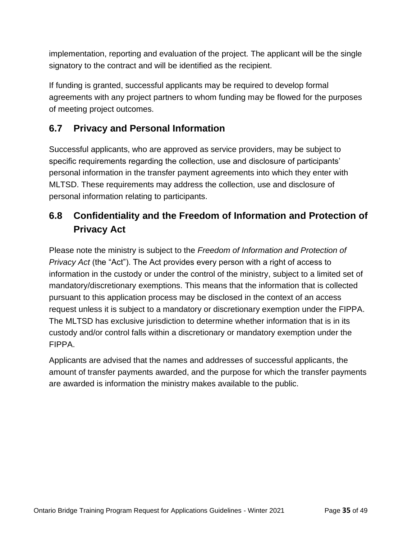implementation, reporting and evaluation of the project. The applicant will be the single signatory to the contract and will be identified as the recipient.

If funding is granted, successful applicants may be required to develop formal agreements with any project partners to whom funding may be flowed for the purposes of meeting project outcomes.

## <span id="page-37-0"></span>**6.7 Privacy and Personal Information**

Successful applicants, who are approved as service providers, may be subject to specific requirements regarding the collection, use and disclosure of participants' personal information in the transfer payment agreements into which they enter with MLTSD. These requirements may address the collection, use and disclosure of personal information relating to participants.

## <span id="page-37-1"></span>**6.8 Confidentiality and the Freedom of Information and Protection of Privacy Act**

Please note the ministry is subject to the *Freedom of Information and Protection of Privacy Act* (the "Act"). The Act provides every person with a right of access to information in the custody or under the control of the ministry, subject to a limited set of mandatory/discretionary exemptions. This means that the information that is collected pursuant to this application process may be disclosed in the context of an access request unless it is subject to a mandatory or discretionary exemption under the FIPPA. The MLTSD has exclusive jurisdiction to determine whether information that is in its custody and/or control falls within a discretionary or mandatory exemption under the FIPPA.

Applicants are advised that the names and addresses of successful applicants, the amount of transfer payments awarded, and the purpose for which the transfer payments are awarded is information the ministry makes available to the public.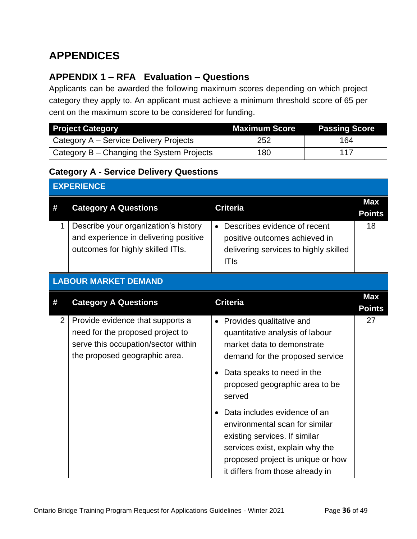## <span id="page-38-0"></span>**APPENDICES**

## <span id="page-38-1"></span>**APPENDIX 1 – RFA Evaluation – Questions**

Applicants can be awarded the following maximum scores depending on which project category they apply to. An applicant must achieve a minimum threshold score of 65 per cent on the maximum score to be considered for funding.

| <b>Project Category</b>                   | <b>Maximum Score</b> | <b>Passing Score</b> |
|-------------------------------------------|----------------------|----------------------|
| Category A – Service Delivery Projects    | 252                  | 164                  |
| Category B – Changing the System Projects | 180                  | 117                  |

#### <span id="page-38-2"></span>**Category A - Service Delivery Questions**

| <b>EXPERIENCE</b> |                                                                                                                                              |                                                                                                                                                                                                             |                             |  |
|-------------------|----------------------------------------------------------------------------------------------------------------------------------------------|-------------------------------------------------------------------------------------------------------------------------------------------------------------------------------------------------------------|-----------------------------|--|
| #                 | <b>Category A Questions</b>                                                                                                                  | <b>Criteria</b>                                                                                                                                                                                             | <b>Max</b><br><b>Points</b> |  |
| 1                 | Describe your organization's history<br>and experience in delivering positive<br>outcomes for highly skilled ITIs.                           | Describes evidence of recent<br>positive outcomes achieved in<br>delivering services to highly skilled<br><b>ITIs</b>                                                                                       | 18                          |  |
|                   | <b>LABOUR MARKET DEMAND</b>                                                                                                                  |                                                                                                                                                                                                             |                             |  |
| #                 | <b>Category A Questions</b>                                                                                                                  | <b>Criteria</b>                                                                                                                                                                                             | <b>Max</b><br><b>Points</b> |  |
| $\overline{2}$    | Provide evidence that supports a<br>need for the proposed project to<br>serve this occupation/sector within<br>the proposed geographic area. | • Provides qualitative and<br>quantitative analysis of labour<br>market data to demonstrate<br>demand for the proposed service                                                                              | 27                          |  |
|                   |                                                                                                                                              | Data speaks to need in the<br>proposed geographic area to be<br>served                                                                                                                                      |                             |  |
|                   |                                                                                                                                              | Data includes evidence of an<br>environmental scan for similar<br>existing services. If similar<br>services exist, explain why the<br>proposed project is unique or how<br>it differs from those already in |                             |  |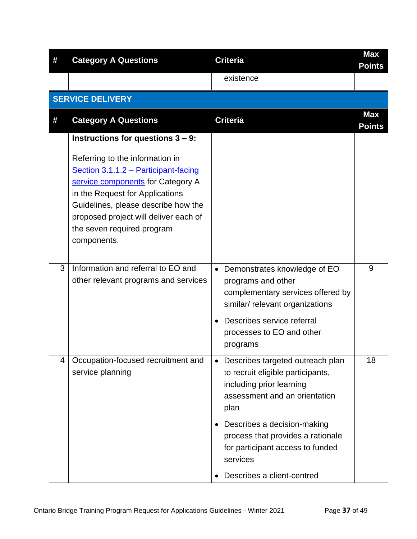| # | <b>Category A Questions</b>                                                                                                                                                                                                                                                  | <b>Criteria</b>                                                                                                                              | <b>Max</b><br><b>Points</b> |
|---|------------------------------------------------------------------------------------------------------------------------------------------------------------------------------------------------------------------------------------------------------------------------------|----------------------------------------------------------------------------------------------------------------------------------------------|-----------------------------|
|   |                                                                                                                                                                                                                                                                              | existence                                                                                                                                    |                             |
|   | <b>SERVICE DELIVERY</b>                                                                                                                                                                                                                                                      |                                                                                                                                              |                             |
| # | <b>Category A Questions</b>                                                                                                                                                                                                                                                  | <b>Criteria</b>                                                                                                                              | <b>Max</b><br><b>Points</b> |
|   | Instructions for questions $3 - 9$ :                                                                                                                                                                                                                                         |                                                                                                                                              |                             |
|   | Referring to the information in<br>Section 3.1.1.2 - Participant-facing<br>service components for Category A<br>in the Request for Applications<br>Guidelines, please describe how the<br>proposed project will deliver each of<br>the seven required program<br>components. |                                                                                                                                              |                             |
| 3 | Information and referral to EO and<br>other relevant programs and services                                                                                                                                                                                                   | Demonstrates knowledge of EO<br>$\bullet$<br>programs and other<br>complementary services offered by<br>similar/ relevant organizations      | 9                           |
|   |                                                                                                                                                                                                                                                                              | Describes service referral<br>processes to EO and other<br>programs                                                                          |                             |
| 4 | Occupation-focused recruitment and<br>service planning                                                                                                                                                                                                                       | • Describes targeted outreach plan<br>to recruit eligible participants,<br>including prior learning<br>assessment and an orientation<br>plan | 18                          |
|   |                                                                                                                                                                                                                                                                              | Describes a decision-making<br>process that provides a rationale<br>for participant access to funded<br>services                             |                             |
|   |                                                                                                                                                                                                                                                                              | Describes a client-centred                                                                                                                   |                             |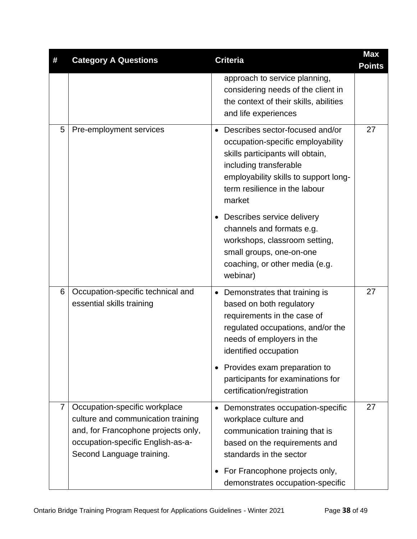| #              | <b>Category A Questions</b>                                                                                                                                                  | <b>Criteria</b>                                                                                                                                                                                                          | <b>Max</b><br><b>Points</b> |
|----------------|------------------------------------------------------------------------------------------------------------------------------------------------------------------------------|--------------------------------------------------------------------------------------------------------------------------------------------------------------------------------------------------------------------------|-----------------------------|
|                |                                                                                                                                                                              | approach to service planning,<br>considering needs of the client in<br>the context of their skills, abilities<br>and life experiences                                                                                    |                             |
| 5              | Pre-employment services                                                                                                                                                      | • Describes sector-focused and/or<br>occupation-specific employability<br>skills participants will obtain,<br>including transferable<br>employability skills to support long-<br>term resilience in the labour<br>market | 27                          |
|                |                                                                                                                                                                              | Describes service delivery<br>channels and formats e.g.<br>workshops, classroom setting,<br>small groups, one-on-one<br>coaching, or other media (e.g.<br>webinar)                                                       |                             |
| 6              | Occupation-specific technical and<br>essential skills training                                                                                                               | Demonstrates that training is<br>$\bullet$<br>based on both regulatory<br>requirements in the case of<br>regulated occupations, and/or the<br>needs of employers in the<br>identified occupation                         | 27                          |
|                |                                                                                                                                                                              | Provides exam preparation to<br>participants for examinations for<br>certification/registration                                                                                                                          |                             |
| $\overline{7}$ | Occupation-specific workplace<br>culture and communication training<br>and, for Francophone projects only,<br>occupation-specific English-as-a-<br>Second Language training. | Demonstrates occupation-specific<br>workplace culture and<br>communication training that is<br>based on the requirements and<br>standards in the sector                                                                  | 27                          |
|                |                                                                                                                                                                              | For Francophone projects only,<br>demonstrates occupation-specific                                                                                                                                                       |                             |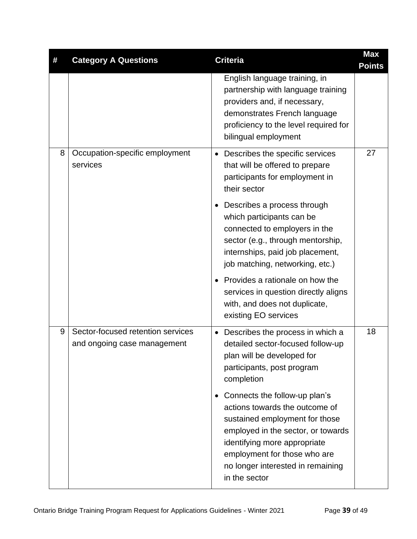| # | <b>Category A Questions</b>                                      | <b>Criteria</b>                                                                                                                                                                                                                                               | <b>Max</b><br><b>Points</b> |
|---|------------------------------------------------------------------|---------------------------------------------------------------------------------------------------------------------------------------------------------------------------------------------------------------------------------------------------------------|-----------------------------|
|   |                                                                  | English language training, in<br>partnership with language training<br>providers and, if necessary,<br>demonstrates French language<br>proficiency to the level required for<br>bilingual employment                                                          |                             |
| 8 | Occupation-specific employment<br>services                       | Describes the specific services<br>that will be offered to prepare<br>participants for employment in<br>their sector                                                                                                                                          | 27                          |
|   |                                                                  | Describes a process through<br>which participants can be<br>connected to employers in the<br>sector (e.g., through mentorship,<br>internships, paid job placement,<br>job matching, networking, etc.)                                                         |                             |
|   |                                                                  | Provides a rationale on how the<br>services in question directly aligns<br>with, and does not duplicate,<br>existing EO services                                                                                                                              |                             |
| 9 | Sector-focused retention services<br>and ongoing case management | Describes the process in which a<br>detailed sector-focused follow-up<br>plan will be developed for<br>participants, post program<br>completion                                                                                                               | 18                          |
|   |                                                                  | Connects the follow-up plan's<br>actions towards the outcome of<br>sustained employment for those<br>employed in the sector, or towards<br>identifying more appropriate<br>employment for those who are<br>no longer interested in remaining<br>in the sector |                             |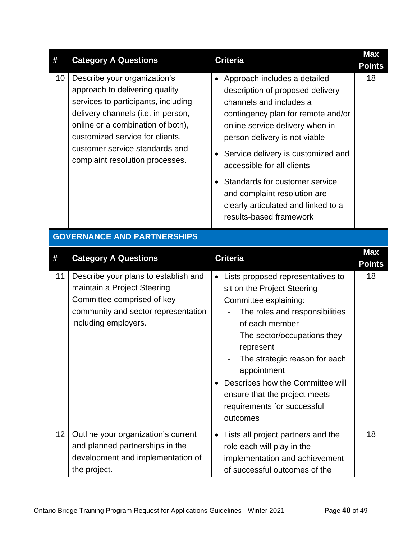| #  | <b>Category A Questions</b>                                                                                                                                                                                                                                                              | <b>Criteria</b>                                                                                                                                                                                                                                                                                                                                                                                                               | <b>Max</b><br><b>Points</b> |
|----|------------------------------------------------------------------------------------------------------------------------------------------------------------------------------------------------------------------------------------------------------------------------------------------|-------------------------------------------------------------------------------------------------------------------------------------------------------------------------------------------------------------------------------------------------------------------------------------------------------------------------------------------------------------------------------------------------------------------------------|-----------------------------|
| 10 | Describe your organization's<br>approach to delivering quality<br>services to participants, including<br>delivery channels (i.e. in-person,<br>online or a combination of both),<br>customized service for clients,<br>customer service standards and<br>complaint resolution processes. | • Approach includes a detailed<br>description of proposed delivery<br>channels and includes a<br>contingency plan for remote and/or<br>online service delivery when in-<br>person delivery is not viable<br>Service delivery is customized and<br>accessible for all clients<br>Standards for customer service<br>$\bullet$<br>and complaint resolution are<br>clearly articulated and linked to a<br>results-based framework | 18                          |
|    | <b>GOVERNANCE AND PARTNERSHIPS</b>                                                                                                                                                                                                                                                       |                                                                                                                                                                                                                                                                                                                                                                                                                               |                             |
| #  | <b>Category A Questions</b>                                                                                                                                                                                                                                                              | <b>Criteria</b>                                                                                                                                                                                                                                                                                                                                                                                                               | <b>Max</b><br><b>Points</b> |
| 11 | Describe your plans to establish and<br>maintain a Project Steering<br>Committee comprised of key<br>community and sector representation<br>including employers.                                                                                                                         | • Lists proposed representatives to<br>sit on the Project Steering<br>Committee explaining:<br>The roles and responsibilities<br>of each member<br>The sector/occupations they                                                                                                                                                                                                                                                | 18                          |
|    |                                                                                                                                                                                                                                                                                          | represent<br>The strategic reason for each<br>appointment<br>Describes how the Committee will<br>ensure that the project meets<br>requirements for successful<br>outcomes                                                                                                                                                                                                                                                     |                             |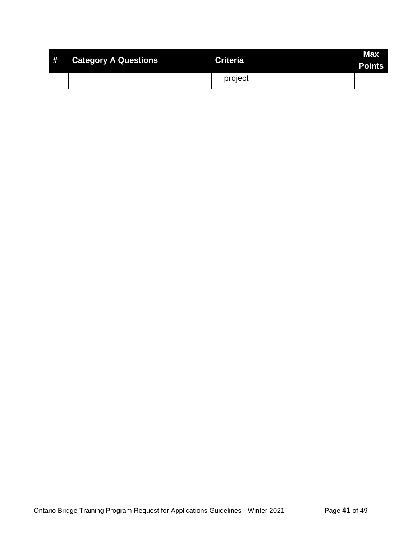| # | <b>Category A Questions</b> | <b>Criteria</b> | <b>Max</b><br><b>Points</b> |
|---|-----------------------------|-----------------|-----------------------------|
|   |                             | project         |                             |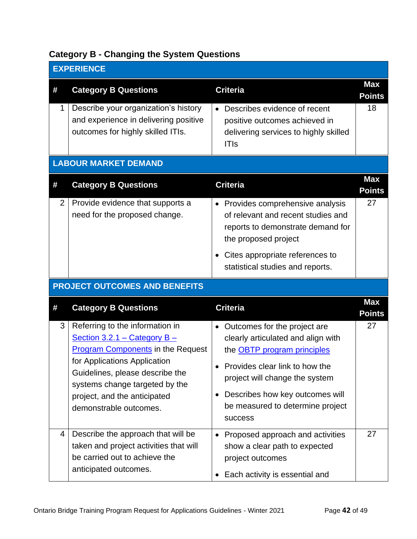## <span id="page-44-0"></span>**Category B - Changing the System Questions**

| <b>EXPERIENCE</b> |                                                                                                                                                                                                                                                                              |                                                                                                                                                                                                                                                                         |                             |
|-------------------|------------------------------------------------------------------------------------------------------------------------------------------------------------------------------------------------------------------------------------------------------------------------------|-------------------------------------------------------------------------------------------------------------------------------------------------------------------------------------------------------------------------------------------------------------------------|-----------------------------|
| #                 | <b>Category B Questions</b>                                                                                                                                                                                                                                                  | <b>Criteria</b>                                                                                                                                                                                                                                                         | <b>Max</b><br><b>Points</b> |
| 1                 | Describe your organization's history<br>and experience in delivering positive<br>outcomes for highly skilled ITIs.                                                                                                                                                           | Describes evidence of recent<br>positive outcomes achieved in<br>delivering services to highly skilled<br><b>ITIs</b>                                                                                                                                                   | 18                          |
|                   | <b>LABOUR MARKET DEMAND</b>                                                                                                                                                                                                                                                  |                                                                                                                                                                                                                                                                         |                             |
| #                 | <b>Category B Questions</b>                                                                                                                                                                                                                                                  | <b>Criteria</b>                                                                                                                                                                                                                                                         | <b>Max</b><br><b>Points</b> |
| 2                 | Provide evidence that supports a<br>need for the proposed change.                                                                                                                                                                                                            | • Provides comprehensive analysis<br>of relevant and recent studies and<br>reports to demonstrate demand for<br>the proposed project                                                                                                                                    | 27                          |
|                   |                                                                                                                                                                                                                                                                              | Cites appropriate references to<br>statistical studies and reports.                                                                                                                                                                                                     |                             |
|                   | <b>PROJECT OUTCOMES AND BENEFITS</b>                                                                                                                                                                                                                                         |                                                                                                                                                                                                                                                                         |                             |
| #                 | <b>Category B Questions</b>                                                                                                                                                                                                                                                  | <b>Criteria</b>                                                                                                                                                                                                                                                         | <b>Max</b><br><b>Points</b> |
| 3                 | Referring to the information in<br>Section 3.2.1 – Category $B -$<br><b>Program Components in the Request</b><br>for Applications Application<br>Guidelines, please describe the<br>systems change targeted by the<br>project, and the anticipated<br>demonstrable outcomes. | • Outcomes for the project are<br>clearly articulated and align with<br>the <b>OBTP</b> program principles<br>Provides clear link to how the<br>project will change the system<br>Describes how key outcomes will<br>be measured to determine project<br><b>success</b> | 27                          |
| $\overline{4}$    | Describe the approach that will be<br>taken and project activities that will<br>be carried out to achieve the<br>anticipated outcomes.                                                                                                                                       | Proposed approach and activities<br>show a clear path to expected<br>project outcomes<br>Each activity is essential and                                                                                                                                                 | 27                          |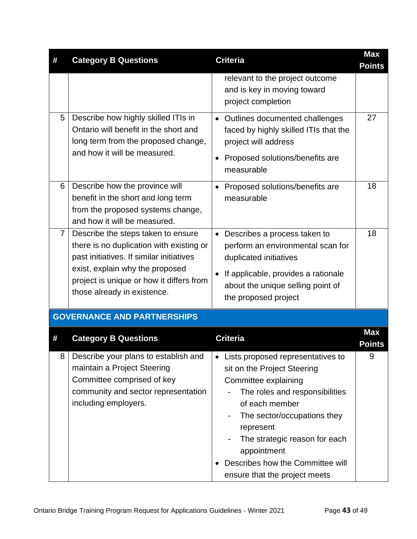| #              | <b>Category B Questions</b>                                                                                                                                                                                                              | <b>Criteria</b>                                                                                                                                                                                                                                                                                               | <b>Max</b><br><b>Points</b> |
|----------------|------------------------------------------------------------------------------------------------------------------------------------------------------------------------------------------------------------------------------------------|---------------------------------------------------------------------------------------------------------------------------------------------------------------------------------------------------------------------------------------------------------------------------------------------------------------|-----------------------------|
|                |                                                                                                                                                                                                                                          | relevant to the project outcome<br>and is key in moving toward<br>project completion                                                                                                                                                                                                                          |                             |
| 5              | Describe how highly skilled ITIs in<br>Ontario will benefit in the short and<br>long term from the proposed change,<br>and how it will be measured.                                                                                      | • Outlines documented challenges<br>faced by highly skilled ITIs that the<br>project will address<br>Proposed solutions/benefits are<br>$\bullet$<br>measurable                                                                                                                                               | 27                          |
| 6              | Describe how the province will<br>benefit in the short and long term<br>from the proposed systems change,<br>and how it will be measured.                                                                                                | Proposed solutions/benefits are<br>measurable                                                                                                                                                                                                                                                                 | 18                          |
| $\overline{7}$ | Describe the steps taken to ensure<br>there is no duplication with existing or<br>past initiatives. If similar initiatives<br>exist, explain why the proposed<br>project is unique or how it differs from<br>those already in existence. | Describes a process taken to<br>$\bullet$<br>perform an environmental scan for<br>duplicated initiatives<br>If applicable, provides a rationale<br>about the unique selling point of<br>the proposed project                                                                                                  | 18                          |
|                | <b>GOVERNANCE AND PARTNERSHIPS</b>                                                                                                                                                                                                       |                                                                                                                                                                                                                                                                                                               |                             |
| #              | <b>Category B Questions</b>                                                                                                                                                                                                              | <b>Criteria</b>                                                                                                                                                                                                                                                                                               | <b>Max</b><br><b>Points</b> |
|                | 8 Describe your plans to establish and  <br>maintain a Project Steering<br>Committee comprised of key<br>community and sector representation<br>including employers.                                                                     | Lists proposed representatives to<br>sit on the Project Steering<br>Committee explaining<br>The roles and responsibilities<br>of each member<br>The sector/occupations they<br>represent<br>The strategic reason for each<br>appointment<br>Describes how the Committee will<br>ensure that the project meets | 9                           |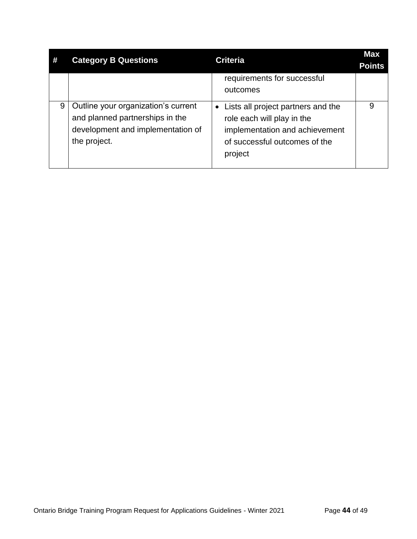<span id="page-46-0"></span>

|   | <b>Category B Questions</b>         | <b>Criteria</b>                                 | <b>Max</b><br><b>Points</b> |
|---|-------------------------------------|-------------------------------------------------|-----------------------------|
|   |                                     | requirements for successful                     |                             |
|   |                                     | outcomes                                        |                             |
| 9 | Outline your organization's current | Lists all project partners and the<br>$\bullet$ | 9                           |
|   | and planned partnerships in the     | role each will play in the                      |                             |
|   | development and implementation of   | implementation and achievement                  |                             |
|   | the project.                        | of successful outcomes of the                   |                             |
|   |                                     | project                                         |                             |
|   |                                     |                                                 |                             |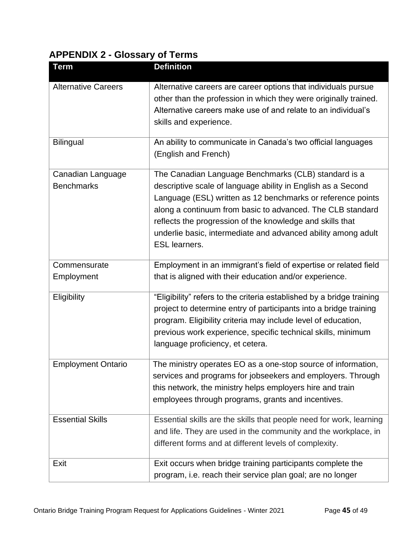## **APPENDIX 2 - Glossary of Terms**

| <b>Term</b>                            | <b>Definition</b>                                                                                                                                                                                                                                                                                                                                                                                       |
|----------------------------------------|---------------------------------------------------------------------------------------------------------------------------------------------------------------------------------------------------------------------------------------------------------------------------------------------------------------------------------------------------------------------------------------------------------|
| <b>Alternative Careers</b>             | Alternative careers are career options that individuals pursue<br>other than the profession in which they were originally trained.<br>Alternative careers make use of and relate to an individual's<br>skills and experience.                                                                                                                                                                           |
| <b>Bilingual</b>                       | An ability to communicate in Canada's two official languages<br>(English and French)                                                                                                                                                                                                                                                                                                                    |
| Canadian Language<br><b>Benchmarks</b> | The Canadian Language Benchmarks (CLB) standard is a<br>descriptive scale of language ability in English as a Second<br>Language (ESL) written as 12 benchmarks or reference points<br>along a continuum from basic to advanced. The CLB standard<br>reflects the progression of the knowledge and skills that<br>underlie basic, intermediate and advanced ability among adult<br><b>ESL learners.</b> |
| Commensurate<br>Employment             | Employment in an immigrant's field of expertise or related field<br>that is aligned with their education and/or experience.                                                                                                                                                                                                                                                                             |
| Eligibility                            | "Eligibility" refers to the criteria established by a bridge training<br>project to determine entry of participants into a bridge training<br>program. Eligibility criteria may include level of education,<br>previous work experience, specific technical skills, minimum<br>language proficiency, et cetera.                                                                                         |
| <b>Employment Ontario</b>              | The ministry operates EO as a one-stop source of information,<br>services and programs for jobseekers and employers. Through<br>this network, the ministry helps employers hire and train<br>employees through programs, grants and incentives.                                                                                                                                                         |
| <b>Essential Skills</b>                | Essential skills are the skills that people need for work, learning<br>and life. They are used in the community and the workplace, in<br>different forms and at different levels of complexity.                                                                                                                                                                                                         |
| Exit                                   | Exit occurs when bridge training participants complete the<br>program, i.e. reach their service plan goal; are no longer                                                                                                                                                                                                                                                                                |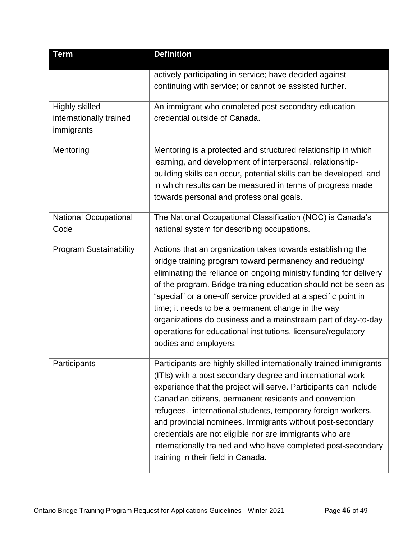| Term                          | <b>Definition</b>                                                                      |
|-------------------------------|----------------------------------------------------------------------------------------|
|                               | actively participating in service; have decided against                                |
|                               | continuing with service; or cannot be assisted further.                                |
| <b>Highly skilled</b>         | An immigrant who completed post-secondary education                                    |
| internationally trained       | credential outside of Canada.                                                          |
| immigrants                    |                                                                                        |
| Mentoring                     | Mentoring is a protected and structured relationship in which                          |
|                               | learning, and development of interpersonal, relationship-                              |
|                               | building skills can occur, potential skills can be developed, and                      |
|                               | in which results can be measured in terms of progress made                             |
|                               | towards personal and professional goals.                                               |
| <b>National Occupational</b>  | The National Occupational Classification (NOC) is Canada's                             |
| Code                          | national system for describing occupations.                                            |
| <b>Program Sustainability</b> | Actions that an organization takes towards establishing the                            |
|                               | bridge training program toward permanency and reducing/                                |
|                               | eliminating the reliance on ongoing ministry funding for delivery                      |
|                               | of the program. Bridge training education should not be seen as                        |
|                               | "special" or a one-off service provided at a specific point in                         |
|                               | time; it needs to be a permanent change in the way                                     |
|                               | organizations do business and a mainstream part of day-to-day                          |
|                               | operations for educational institutions, licensure/regulatory<br>bodies and employers. |
|                               |                                                                                        |
| Participants                  | Participants are highly skilled internationally trained immigrants                     |
|                               | (ITIs) with a post-secondary degree and international work                             |
|                               | experience that the project will serve. Participants can include                       |
|                               | Canadian citizens, permanent residents and convention                                  |
|                               | refugees. international students, temporary foreign workers,                           |
|                               | and provincial nominees. Immigrants without post-secondary                             |
|                               | credentials are not eligible nor are immigrants who are                                |
|                               | internationally trained and who have completed post-secondary                          |
|                               | training in their field in Canada.                                                     |
|                               |                                                                                        |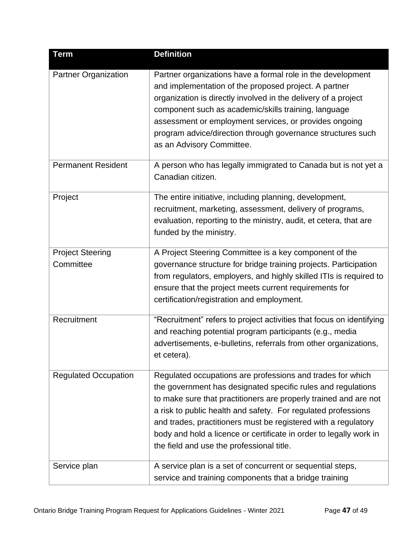| <b>Term</b>                          | <b>Definition</b>                                                                                                                                                                                                                                                                                                                                                                                                                                    |
|--------------------------------------|------------------------------------------------------------------------------------------------------------------------------------------------------------------------------------------------------------------------------------------------------------------------------------------------------------------------------------------------------------------------------------------------------------------------------------------------------|
| <b>Partner Organization</b>          | Partner organizations have a formal role in the development<br>and implementation of the proposed project. A partner<br>organization is directly involved in the delivery of a project<br>component such as academic/skills training, language<br>assessment or employment services, or provides ongoing<br>program advice/direction through governance structures such<br>as an Advisory Committee.                                                 |
| <b>Permanent Resident</b>            | A person who has legally immigrated to Canada but is not yet a<br>Canadian citizen.                                                                                                                                                                                                                                                                                                                                                                  |
| Project                              | The entire initiative, including planning, development,<br>recruitment, marketing, assessment, delivery of programs,<br>evaluation, reporting to the ministry, audit, et cetera, that are<br>funded by the ministry.                                                                                                                                                                                                                                 |
| <b>Project Steering</b><br>Committee | A Project Steering Committee is a key component of the<br>governance structure for bridge training projects. Participation<br>from regulators, employers, and highly skilled ITIs is required to<br>ensure that the project meets current requirements for<br>certification/registration and employment.                                                                                                                                             |
| Recruitment                          | "Recruitment" refers to project activities that focus on identifying<br>and reaching potential program participants (e.g., media<br>advertisements, e-bulletins, referrals from other organizations,<br>et cetera).                                                                                                                                                                                                                                  |
| <b>Regulated Occupation</b>          | Regulated occupations are professions and trades for which<br>the government has designated specific rules and regulations<br>to make sure that practitioners are properly trained and are not<br>a risk to public health and safety. For regulated professions<br>and trades, practitioners must be registered with a regulatory<br>body and hold a licence or certificate in order to legally work in<br>the field and use the professional title. |
| Service plan                         | A service plan is a set of concurrent or sequential steps,<br>service and training components that a bridge training                                                                                                                                                                                                                                                                                                                                 |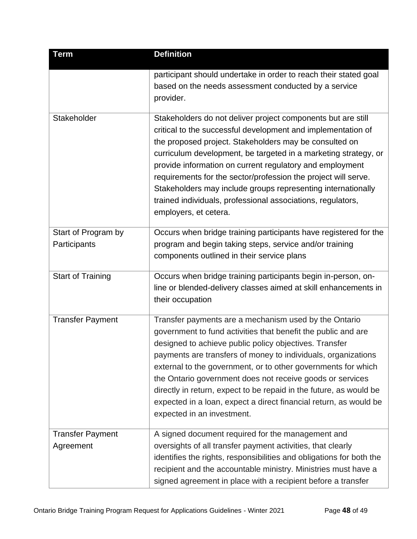| <b>Term</b>              | <b>Definition</b>                                                                                                              |
|--------------------------|--------------------------------------------------------------------------------------------------------------------------------|
|                          | participant should undertake in order to reach their stated goal                                                               |
|                          | based on the needs assessment conducted by a service<br>provider.                                                              |
|                          |                                                                                                                                |
| Stakeholder              | Stakeholders do not deliver project components but are still                                                                   |
|                          | critical to the successful development and implementation of<br>the proposed project. Stakeholders may be consulted on         |
|                          | curriculum development, be targeted in a marketing strategy, or                                                                |
|                          | provide information on current regulatory and employment                                                                       |
|                          | requirements for the sector/profession the project will serve.                                                                 |
|                          | Stakeholders may include groups representing internationally                                                                   |
|                          | trained individuals, professional associations, regulators,                                                                    |
|                          | employers, et cetera.                                                                                                          |
| Start of Program by      | Occurs when bridge training participants have registered for the                                                               |
| Participants             | program and begin taking steps, service and/or training                                                                        |
|                          | components outlined in their service plans                                                                                     |
| <b>Start of Training</b> | Occurs when bridge training participants begin in-person, on-                                                                  |
|                          | line or blended-delivery classes aimed at skill enhancements in                                                                |
|                          | their occupation                                                                                                               |
| <b>Transfer Payment</b>  | Transfer payments are a mechanism used by the Ontario                                                                          |
|                          | government to fund activities that benefit the public and are                                                                  |
|                          | designed to achieve public policy objectives. Transfer                                                                         |
|                          | payments are transfers of money to individuals, organizations<br>external to the government, or to other governments for which |
|                          | the Ontario government does not receive goods or services                                                                      |
|                          | directly in return, expect to be repaid in the future, as would be                                                             |
|                          | expected in a loan, expect a direct financial return, as would be                                                              |
|                          | expected in an investment.                                                                                                     |
| <b>Transfer Payment</b>  | A signed document required for the management and                                                                              |
| Agreement                | oversights of all transfer payment activities, that clearly                                                                    |
|                          | identifies the rights, responsibilities and obligations for both the                                                           |
|                          | recipient and the accountable ministry. Ministries must have a                                                                 |
|                          | signed agreement in place with a recipient before a transfer                                                                   |